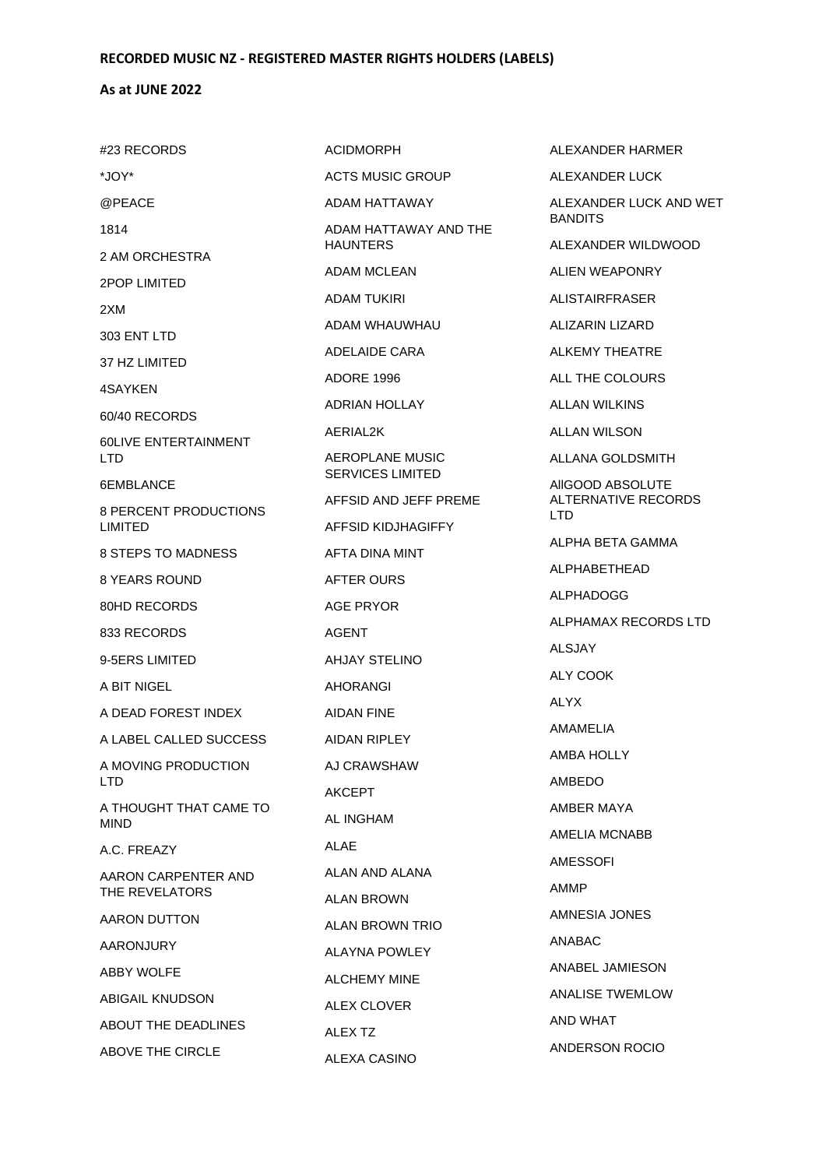### **As at JUNE 2022**

#23 RECORDS \*JOY\* @PEACE 1814 2 AM ORCHESTRA 2POP LIMITED 2XM 303 ENT LTD 37 HZ LIMITED 4SAYKEN 60/40 RECORDS 60LIVE ENTERTAINMENT LTD 6EMBLANCE 8 PERCENT PRODUCTIONS LIMITED 8 STEPS TO MADNESS 8 YEARS ROUND 80HD RECORDS 833 RECORDS 9-5ERS LIMITED A BIT NIGEL A DEAD FOREST INDEX A LABEL CALLED SUCCESS A MOVING PRODUCTION LTD A THOUGHT THAT CAME TO MIND A.C. FREAZY AARON CARPENTER AND THE REVELATORS AARON DUTTON AARONJURY ABBY WOLFE ABIGAIL KNUDSON ABOUT THE DEADLINES ABOVE THE CIRCLE

ACIDMORPH ACTS MUSIC GROUP ADAM HATTAWAY ADAM HATTAWAY AND THE HAUNTERS ADAM MCLEAN ADAM TUKIRI ADAM WHAUWHAU ADELAIDE CARA ADORE 1996 ADRIAN HOLLAY AERIAL2K AEROPLANE MUSIC SERVICES LIMITED AFFSID AND JEFF PREME AFFSID KIDJHAGIFFY AFTA DINA MINT AFTER OURS AGE PRYOR AGENT AHJAY STELINO AHORANGI AIDAN FINE AIDAN RIPLEY AJ CRAWSHAW AKCEPT AL INGHAM ALAE ALAN AND ALANA ALAN BROWN ALAN BROWN TRIO ALAYNA POWLEY ALCHEMY MINE ALEX CLOVER ALEX TZ ALEXA CASINO

ALEXANDER HARMER ALEXANDER LUCK ALEXANDER LUCK AND WET BANDITS ALEXANDER WILDWOOD ALIEN WEAPONRY ALISTAIRFRASER ALIZARIN LIZARD ALKEMY THEATRE ALL THE COLOURS ALLAN WILKINS ALLAN WILSON ALLANA GOLDSMITH AllGOOD ABSOLUTE ALTERNATIVE RECORDS LTD ALPHA BETA GAMMA ALPHABETHEAD ALPHADOGG ALPHAMAX RECORDS LTD ALSJAY ALY COOK ALYX AMAMELIA AMBA HOLLY AMBEDO AMBER MAYA AMELIA MCNABB AMESSOFI AMMP AMNESIA JONES ANABAC ANABEL JAMIESON ANALISE TWEMLOW AND WHAT ANDERSON ROCIO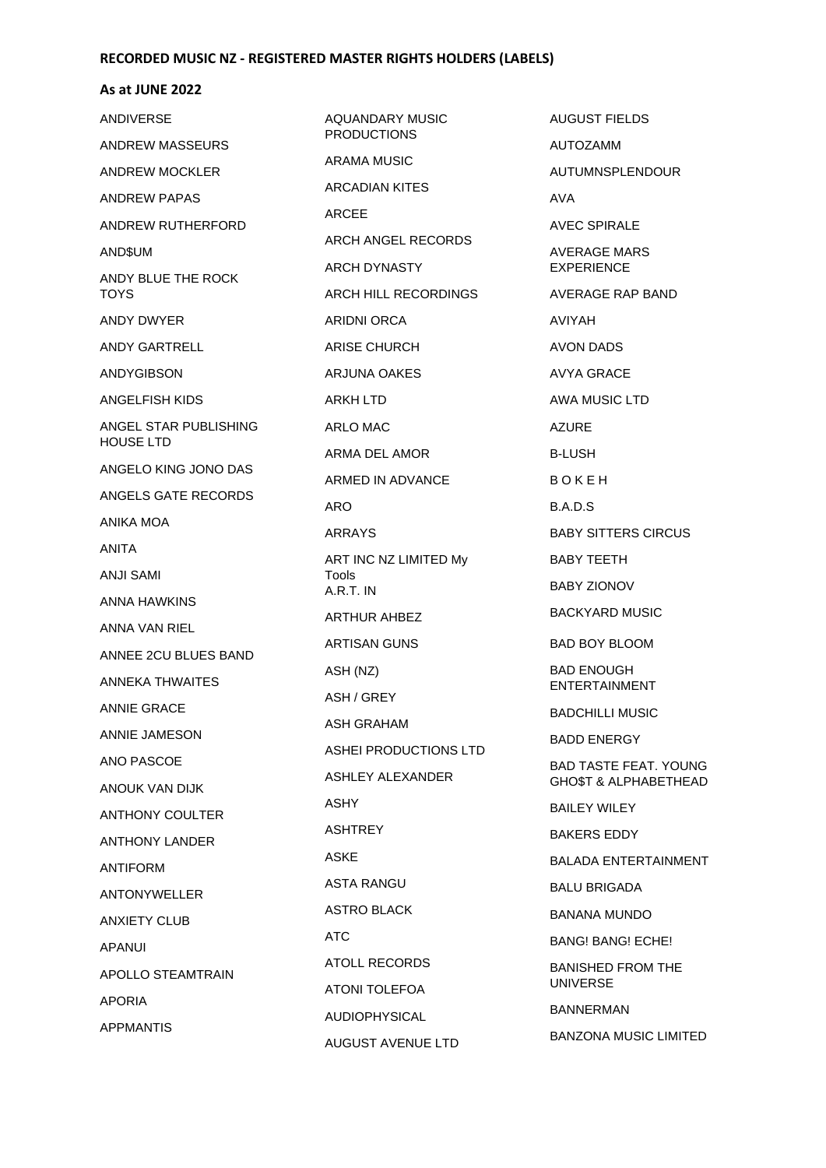#### **As at JUNE 2022**

| ANDIVERSE                  | <b>AQUANDARY MUSIC</b><br><b>PRODUCTIONS</b> |  |
|----------------------------|----------------------------------------------|--|
| ANDREW MASSEURS            | ARAMA MUSIC                                  |  |
| ANDREW MOCKLER             | ARCADIAN KITES                               |  |
| <b>ANDREW PAPAS</b>        | ARCEE                                        |  |
| ANDREW RUTHERFORD          | ARCH ANGEL RECORDS                           |  |
| AND\$UM                    | ARCH DYNASTY                                 |  |
| ANDY BLUE THE ROCK<br>TOYS | ARCH HILL RECORDINGS                         |  |
| ANDY DWYER                 | ARIDNI ORCA                                  |  |
| ANDY GARTRELL              | ARISE CHURCH                                 |  |
| ANDYGIBSON                 | ARJUNA OAKES                                 |  |
| ANGELFISH KIDS             | ARKH LTD                                     |  |
| ANGEL STAR PUBLISHING      | ARLO MAC                                     |  |
| HOUSE LTD                  | ARMA DEL AMOR                                |  |
| ANGELO KING JONO DAS       | ARMED IN ADVANCE                             |  |
| ANGELS GATE RECORDS        | ARO                                          |  |
| ANIKA MOA                  | ARRAYS                                       |  |
| ANITA                      | ART INC NZ LIMITED My                        |  |
| ANJI SAMI                  | <b>Tools</b><br>$A.R.T.$ IN                  |  |
| ANNA HAWKINS               | <b>ARTHUR AHBEZ</b>                          |  |
| ANNA VAN RIEL              | <b>ARTISAN GUNS</b>                          |  |
| ANNEE 2CU BLUES BAND       | ASH (NZ)                                     |  |
| ANNEKA THWAITES            | ASH / GREY                                   |  |
| <b>ANNIE GRACE</b>         | <b>ASH GRAHAM</b>                            |  |
| <b>ANNIE JAMESON</b>       | ASHEI PRODUCTIONS LTD                        |  |
| ANO PASCOE                 | ASHLEY ALEXANDER                             |  |
| ANOUK VAN DIJK             | ASHY.                                        |  |
| ANTHONY COULTER            | ASHTREY                                      |  |
| <b>ANTHONY LANDER</b>      | ASKE                                         |  |
| ANTIFORM                   | <b>ASTA RANGU</b>                            |  |
| ANTONYWELLER               | ASTRO BLACK                                  |  |
| <b>ANXIETY CLUB</b>        |                                              |  |
| APANUI                     | ATC                                          |  |
| <b>APOLLO STEAMTRAIN</b>   | ATOLL RECORDS                                |  |
| <b>APORIA</b>              | ATONI TOLEFOA                                |  |
| <b>APPMANTIS</b>           | AUDIOPHYSICAL<br><b>AUGUST AVENUE LTD</b>    |  |
|                            |                                              |  |

AUGUST FIELDS AUTOZAMM AUTUMNSPLENDOUR AVA AVEC SPIRALE AVERAGE MARS EXPERIENCE AVERAGE RAP BAND AVIYAH AVON DADS AVYA GRACE AWA MUSIC LTD AZURE B-LUSH B O K E H B.A.D.S BABY SITTERS CIRCUS BABY TEETH BABY ZIONOV BACKYARD MUSIC BAD BOY BLOOM BAD ENOUGH ENTERTAINMENT BADCHILLI MUSIC BADD ENERGY BAD TASTE FEAT. YOUNG GHO\$T & ALPHABETHEAD BAILEY WILEY BAKERS EDDY BALADA ENTERTAINMENT BALU BRIGADA BANANA MUNDO BANG! BANG! ECHE! BANISHED FROM THE UNIVERSE BANNERMAN BANZONA MUSIC LIMITED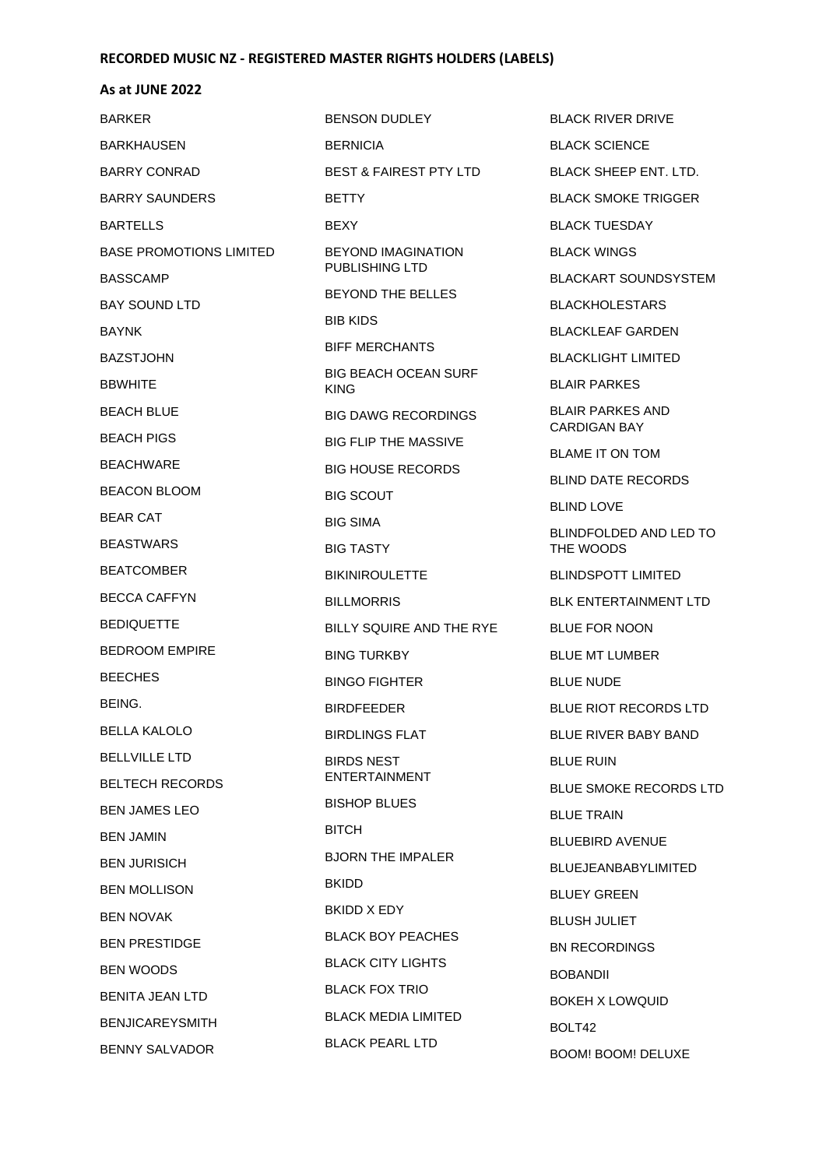#### **As at JUNE 2022**

BARKER BARKHAUSEN BARRY CONRAD BARRY SAUNDERS BARTELLS BASE PROMOTIONS LIMITED BASSCAMP BAY SOUND LTD BAYNK BAZSTJOHN BBWHITE BEACH BLUE BEACH PIGS BEACHWARE BEACON BLOOM BEAR CAT **BEASTWARS** BEATCOMBER BECCA CAFFYN **BEDIQUETTE** BEDROOM EMPIRE **BEECHES** BEING. BELLA KALOLO **BELLVILLE LTD** BELTECH RECORDS BEN JAMES LEO BEN JAMIN BEN JURISICH BEN MOLLISON BEN NOVAK BEN PRESTIDGE BEN WOODS BENITA JEAN LTD BENJICAREYSMITH BENNY SALVADOR

BENSON DUDLEY BERNICIA BEST & FAIREST PTY LTD **BETTY** BEXY BEYOND IMAGINATION PUBLISHING LTD BEYOND THE BELLES BIB KIDS BIFF MERCHANTS BIG BEACH OCEAN SURF KING BIG DAWG RECORDINGS BIG FLIP THE MASSIVE BIG HOUSE RECORDS BIG SCOUT BIG SIMA BIG TASTY BIKINIROULETTE BILLMORRIS BILLY SQUIRE AND THE RYE BING TURKBY BINGO FIGHTER BIRDFEEDER BIRDLINGS FLAT BIRDS NEST ENTERTAINMENT BISHOP BLUES **BITCH** BJORN THE IMPALER BKIDD BKIDD X EDY BLACK BOY PEACHES BLACK CITY LIGHTS BLACK FOX TRIO BLACK MEDIA LIMITED BLACK PEARL LTD

BLACK RIVER DRIVE BLACK SCIENCE BLACK SHEEP ENT. LTD. BLACK SMOKE TRIGGER BLACK TUESDAY BLACK WINGS BLACKART SOUNDSYSTEM BLACKHOLESTARS BLACKLEAF GARDEN BLACKLIGHT LIMITED BLAIR PARKES BLAIR PARKES AND CARDIGAN BAY BLAME IT ON TOM BLIND DATE RECORDS BLIND LOVE BLINDFOLDED AND LED TO THE WOODS BLINDSPOTT LIMITED BLK ENTERTAINMENT LTD BLUE FOR NOON BLUE MT LUMBER BLUE NUDE BLUE RIOT RECORDS LTD BLUE RIVER BABY BAND BLUE RUIN BLUE SMOKE RECORDS LTD BLUE TRAIN BLUEBIRD AVENUE BLUEJEANBABYLIMITED BLUEY GREEN BLUSH JULIET BN RECORDINGS BOBANDII BOKEH X LOWQUID BOLT42 BOOM! BOOM! DELUXE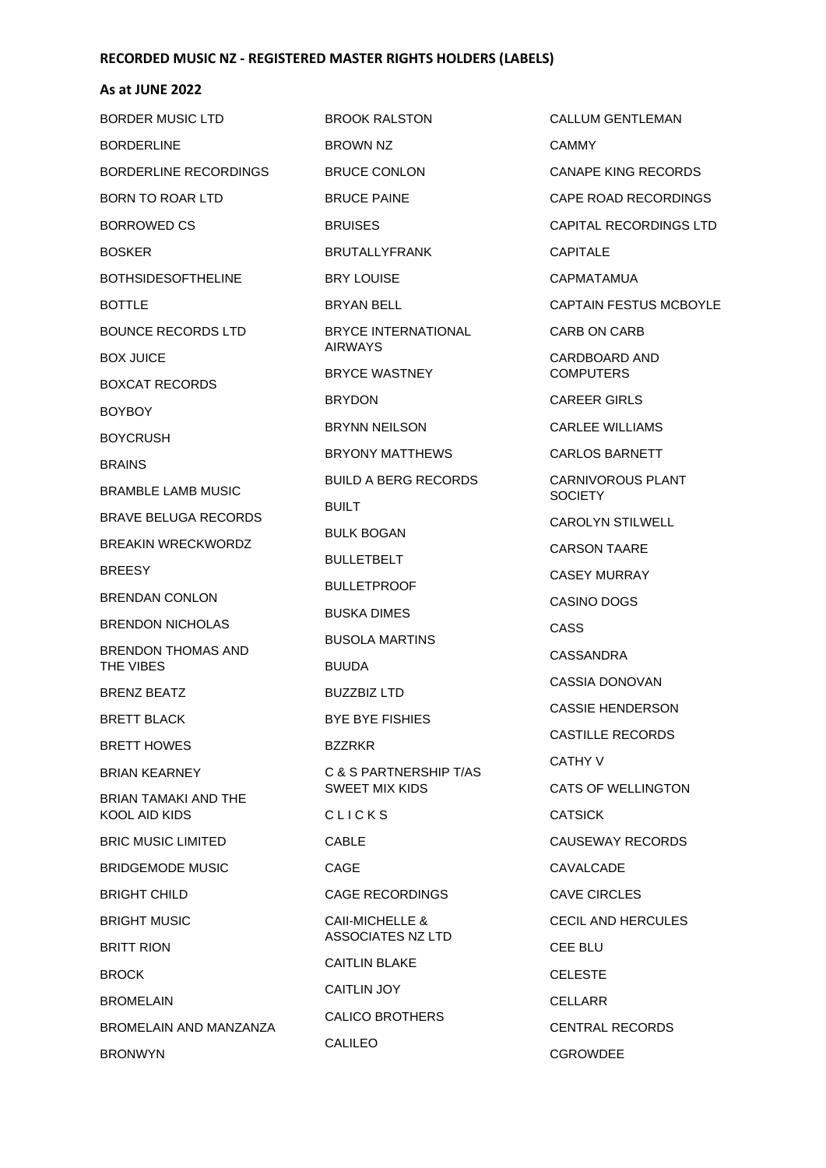| BORDER MUSIC LTD                             | <b>BROOK RALSTON</b>                            | <b>CALLUM GENTLEMAN</b>             |
|----------------------------------------------|-------------------------------------------------|-------------------------------------|
| <b>BORDERLINE</b>                            | <b>BROWN NZ</b>                                 | <b>CAMMY</b>                        |
| BORDERLINE RECORDINGS                        | <b>BRUCE CONLON</b>                             | <b>CANAPE KING RECORDS</b>          |
| <b>BORN TO ROAR LTD</b>                      | <b>BRUCE PAINE</b>                              | CAPE ROAD RECORDINGS                |
| <b>BORROWED CS</b>                           | <b>BRUISES</b>                                  | CAPITAL RECORDINGS LTD              |
| <b>BOSKER</b>                                | <b>BRUTALLYFRANK</b>                            | <b>CAPITALE</b>                     |
| <b>BOTHSIDESOFTHELINE</b>                    | <b>BRY LOUISE</b>                               | CAPMATAMUA                          |
| <b>BOTTLE</b>                                | BRYAN BELL                                      | CAPTAIN FESTUS MCBOYLE              |
| <b>BOUNCE RECORDS LTD</b>                    | <b>BRYCE INTERNATIONAL</b>                      | CARB ON CARB                        |
| <b>BOX JUICE</b>                             | <b>AIRWAYS</b>                                  | CARDBOARD AND                       |
| <b>BOXCAT RECORDS</b>                        | BRYCE WASTNEY                                   | <b>COMPUTERS</b>                    |
| <b>BOYBOY</b>                                | <b>BRYDON</b>                                   | <b>CAREER GIRLS</b>                 |
| <b>BOYCRUSH</b>                              | <b>BRYNN NEILSON</b>                            | <b>CARLEE WILLIAMS</b>              |
| <b>BRAINS</b>                                | <b>BRYONY MATTHEWS</b>                          | CARLOS BARNETT                      |
| <b>BRAMBLE LAMB MUSIC</b>                    | <b>BUILD A BERG RECORDS</b>                     | CARNIVOROUS PLANT<br><b>SOCIETY</b> |
| <b>BRAVE BELUGA RECORDS</b>                  | <b>BUILT</b>                                    | <b>CAROLYN STILWELL</b>             |
| BREAKIN WRECKWORDZ                           | <b>BULK BOGAN</b>                               | <b>CARSON TAARE</b>                 |
| <b>BREESY</b>                                | <b>BULLETBELT</b>                               | <b>CASEY MURRAY</b>                 |
| <b>BRENDAN CONLON</b>                        | <b>BULLETPROOF</b>                              | CASINO DOGS                         |
| <b>BRENDON NICHOLAS</b>                      | <b>BUSKA DIMES</b>                              | CASS                                |
| <b>BRENDON THOMAS AND</b>                    | <b>BUSOLA MARTINS</b>                           | CASSANDRA                           |
| THE VIBES                                    | <b>BUUDA</b>                                    | CASSIA DONOVAN                      |
| <b>BRENZ BEATZ</b>                           | <b>BUZZBIZ LTD</b>                              | <b>CASSIE HENDERSON</b>             |
| <b>BRETT BLACK</b>                           | <b>BYE BYE FISHIES</b>                          | <b>CASTILLE RECORDS</b>             |
| <b>BRETT HOWES</b>                           | <b>BZZRKR</b>                                   | CATHY V                             |
| <b>BRIAN KEARNEY</b>                         | C & S PARTNERSHIP T/AS<br><b>SWEET MIX KIDS</b> | <b>CATS OF WELLINGTON</b>           |
| BRIAN TAMAKI AND THE<br><b>KOOL AID KIDS</b> | CLICKS                                          | <b>CATSICK</b>                      |
| <b>BRIC MUSIC LIMITED</b>                    | <b>CABLE</b>                                    | CAUSEWAY RECORDS                    |
| <b>BRIDGEMODE MUSIC</b>                      | CAGE                                            | CAVALCADE                           |
| <b>BRIGHT CHILD</b>                          | CAGE RECORDINGS                                 | CAVE CIRCLES                        |
| <b>BRIGHT MUSIC</b>                          | CAII-MICHELLE &                                 | <b>CECIL AND HERCULES</b>           |
| <b>BRITT RION</b>                            | <b>ASSOCIATES NZ LTD</b>                        | <b>CEE BLU</b>                      |
| <b>BROCK</b>                                 | <b>CAITLIN BLAKE</b>                            | <b>CELESTE</b>                      |
| <b>BROMELAIN</b>                             | <b>CAITLIN JOY</b>                              | <b>CELLARR</b>                      |
| BROMELAIN AND MANZANZA                       | CALICO BROTHERS                                 | CENTRAL RECORDS                     |
| <b>BRONWYN</b>                               | <b>CALILEO</b>                                  | CGROWDEE                            |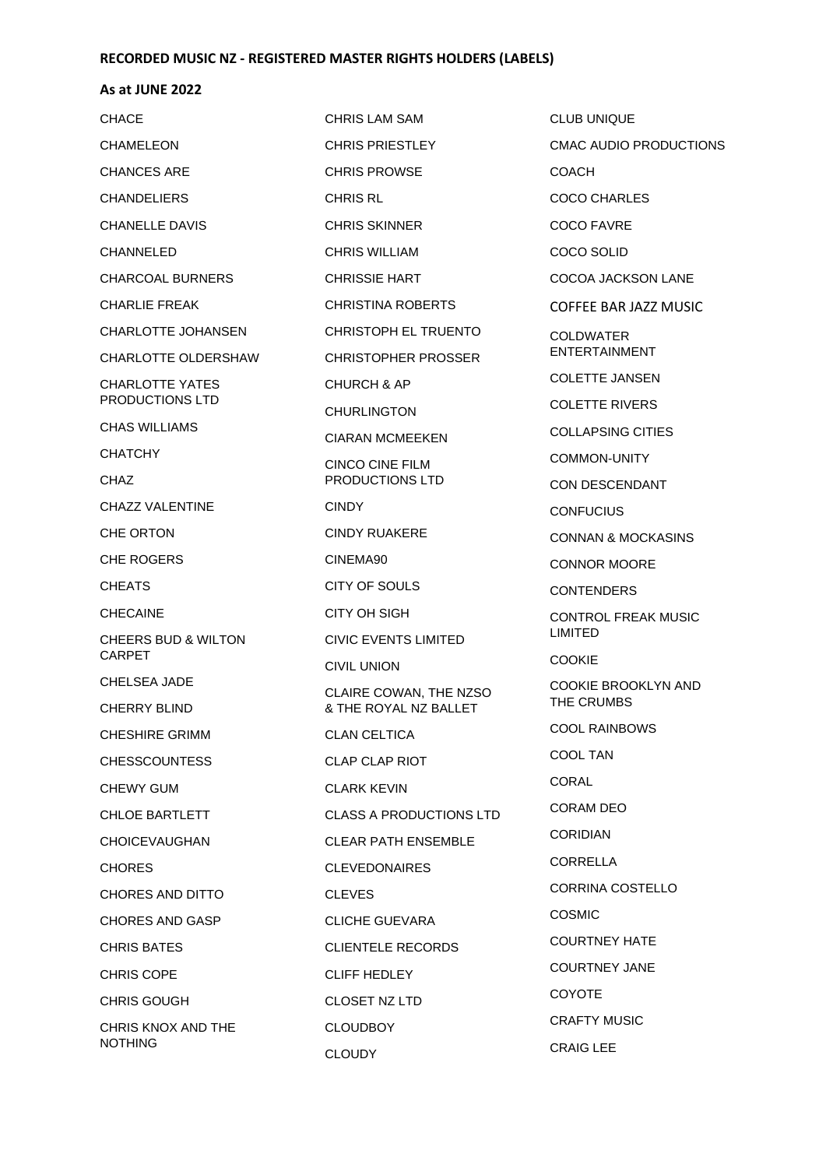| <b>CHRIS LAM SAM</b>                            | <b>CLUB UNIQUE</b>                |
|-------------------------------------------------|-----------------------------------|
| <b>CHRIS PRIESTLEY</b>                          | CMAC AUDIO PRODUCTIONS            |
| <b>CHRIS PROWSE</b>                             | <b>COACH</b>                      |
| <b>CHRIS RL</b>                                 | <b>COCO CHARLES</b>               |
| <b>CHRIS SKINNER</b>                            | <b>COCO FAVRE</b>                 |
| <b>CHRIS WILLIAM</b>                            | COCO SOLID                        |
| <b>CHRISSIE HART</b>                            | COCOA JACKSON LANE                |
| <b>CHRISTINA ROBERTS</b>                        | COFFEE BAR JAZZ MUSIC             |
| CHRISTOPH EL TRUENTO                            | <b>COLDWATER</b>                  |
| <b>CHRISTOPHER PROSSER</b>                      | <b>ENTERTAINMENT</b>              |
| <b>CHURCH &amp; AP</b>                          | <b>COLETTE JANSEN</b>             |
| <b>CHURLINGTON</b>                              | <b>COLETTE RIVERS</b>             |
| <b>CIARAN MCMEEKEN</b>                          | <b>COLLAPSING CITIES</b>          |
| <b>CINCO CINE FILM</b>                          | <b>COMMON-UNITY</b>               |
| PRODUCTIONS LTD                                 | CON DESCENDANT                    |
| <b>CINDY</b>                                    | <b>CONFUCIUS</b>                  |
| <b>CINDY RUAKERE</b>                            | <b>CONNAN &amp; MOCKASINS</b>     |
| CINEMA90                                        | <b>CONNOR MOORE</b>               |
| CITY OF SOULS                                   | <b>CONTENDERS</b>                 |
| CITY OH SIGH                                    | <b>CONTROL FREAK MUSIC</b>        |
| <b>CIVIC EVENTS LIMITED</b>                     | <b>LIMITED</b>                    |
| <b>CIVIL UNION</b>                              | <b>COOKIE</b>                     |
| CLAIRE COWAN, THE NZSO<br>& THE ROYAL NZ BALLET | COOKIE BROOKLYN AND<br>THE CRUMBS |
| <b>CLAN CELTICA</b>                             | <b>COOL RAINBOWS</b>              |
| CLAP CLAP RIOT                                  | COOL TAN                          |
| <b>CLARK KEVIN</b>                              | CORAL                             |
| <b>CLASS A PRODUCTIONS LTD</b>                  | CORAM DEO                         |
| <b>CLEAR PATH ENSEMBLE</b>                      | <b>CORIDIAN</b>                   |
| <b>CLEVEDONAIRES</b>                            | <b>CORRELLA</b>                   |
| <b>CLEVES</b>                                   | CORRINA COSTELLO                  |
| CLICHE GUEVARA                                  | <b>COSMIC</b>                     |
| <b>CLIENTELE RECORDS</b>                        | <b>COURTNEY HATE</b>              |
| <b>CLIFF HEDLEY</b>                             | <b>COURTNEY JANE</b>              |
| CLOSET NZ LTD                                   | <b>COYOTE</b>                     |
| <b>CLOUDBOY</b>                                 | <b>CRAFTY MUSIC</b>               |
| <b>CLOUDY</b>                                   | <b>CRAIG LEE</b>                  |
|                                                 |                                   |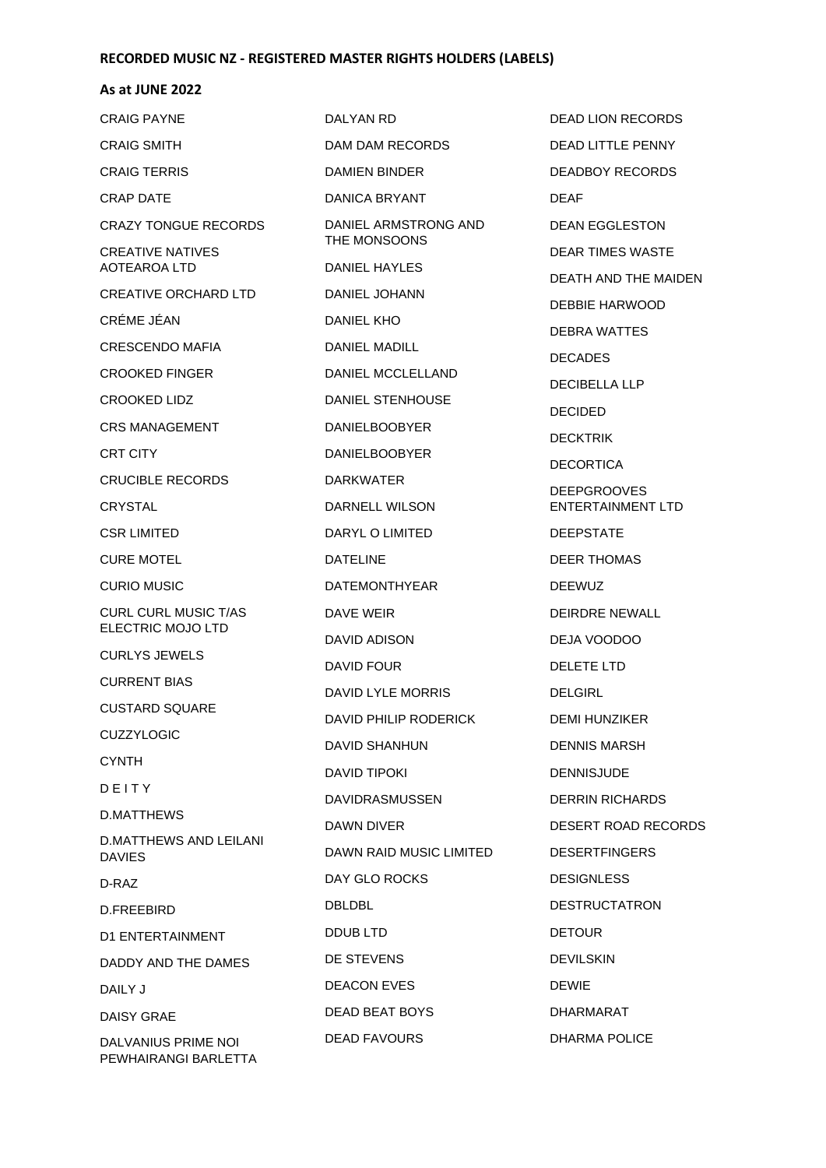### **As at JUNE 2022**

| <b>CRAIG PAYNE</b>                             | DALYAN RD               | <b>DEAD LION RECORDS</b> |
|------------------------------------------------|-------------------------|--------------------------|
| <b>CRAIG SMITH</b>                             | DAM DAM RECORDS         | <b>DEAD LITTLE PENNY</b> |
| <b>CRAIG TERRIS</b>                            | DAMIEN BINDER           | DEADBOY RECORDS          |
| <b>CRAP DATE</b>                               | DANICA BRYANT           | <b>DEAF</b>              |
| <b>CRAZY TONGUE RECORDS</b>                    | DANIEL ARMSTRONG AND    | <b>DEAN EGGLESTON</b>    |
| CREATIVE NATIVES                               | THE MONSOONS            | <b>DEAR TIMES WASTE</b>  |
| <b>AOTEAROA LTD</b>                            | DANIEL HAYLES           | DEATH AND THE MAID       |
| <b>CREATIVE ORCHARD LTD</b>                    | DANIEL JOHANN           | DEBBIE HARWOOD           |
| CRÉME JÉAN                                     | DANIEL KHO              | DEBRA WATTES             |
| CRESCENDO MAFIA                                | <b>DANIEL MADILL</b>    | <b>DECADES</b>           |
| <b>CROOKED FINGER</b>                          | DANIEL MCCLELLAND       | <b>DECIBELLA LLP</b>     |
| <b>CROOKED LIDZ</b>                            | <b>DANIEL STENHOUSE</b> | <b>DECIDED</b>           |
| <b>CRS MANAGEMENT</b>                          | <b>DANIELBOOBYER</b>    | <b>DECKTRIK</b>          |
| <b>CRT CITY</b>                                | <b>DANIELBOOBYER</b>    | <b>DECORTICA</b>         |
| <b>CRUCIBLE RECORDS</b>                        | <b>DARKWATER</b>        | <b>DEEPGROOVES</b>       |
| <b>CRYSTAL</b>                                 | DARNELL WILSON          | <b>ENTERTAINMENT LTD</b> |
| CSR LIMITED                                    | DARYL O LIMITED         | <b>DEEPSTATE</b>         |
| <b>CURE MOTEL</b>                              | <b>DATELINE</b>         | <b>DEER THOMAS</b>       |
| <b>CURIO MUSIC</b>                             | <b>DATEMONTHYEAR</b>    | <b>DEEWUZ</b>            |
| <b>CURL CURL MUSIC T/AS</b>                    | DAVE WEIR               | <b>DEIRDRE NEWALL</b>    |
| ELECTRIC MOJO LTD                              | DAVID ADISON            | DEJA VOODOO              |
| <b>CURLYS JEWELS</b>                           | DAVID FOUR              | DELETE LTD               |
| <b>CURRENT BIAS</b>                            | DAVID LYLE MORRIS       | <b>DELGIRL</b>           |
| <b>CUSTARD SQUARE</b>                          | DAVID PHILIP RODERICK   | <b>DEMI HUNZIKER</b>     |
| <b>CUZZYLOGIC</b>                              | DAVID SHANHUN           | <b>DENNIS MARSH</b>      |
| <b>CYNTH</b>                                   | <b>DAVID TIPOKI</b>     | <b>DENNISJUDE</b>        |
| DEITY                                          | <b>DAVIDRASMUSSEN</b>   | <b>DERRIN RICHARDS</b>   |
| <b>D.MATTHEWS</b>                              | DAWN DIVER              | <b>DESERT ROAD RECOR</b> |
| <b>D.MATTHEWS AND LEILANI</b><br><b>DAVIES</b> | DAWN RAID MUSIC LIMITED | <b>DESERTFINGERS</b>     |
| D-RAZ                                          | DAY GLO ROCKS           | <b>DESIGNLESS</b>        |
| D.FREEBIRD                                     | <b>DBLDBL</b>           | <b>DESTRUCTATRON</b>     |
| D1 ENTERTAINMENT                               | DDUB LTD                | <b>DETOUR</b>            |
| DADDY AND THE DAMES                            | DE STEVENS              | <b>DEVILSKIN</b>         |
| DAILY J                                        | <b>DEACON EVES</b>      | <b>DEWIE</b>             |
| DAISY GRAE                                     | DEAD BEAT BOYS          | DHARMARAT                |
| DALVANIUS PRIME NOI<br>PEWHAIRANGI BARLETTA    | <b>DEAD FAVOURS</b>     | DHARMA POLICE            |

Y RECORDS GLESTON **MES WASTE** ND THE MAIDEN **HARWOOD ATTES** DECADES LA LLP  $\overline{\mathsf{K}}$ **ICA DOVES INMENT LTD NTE** OMAS **NEWALL** ODOO DELETE LTD NZIKER **MARSH** UDE RICHARDS ROAD RECORDS **INGERS** ESS CTATRON  $\overline{\mathsf{N}}$ RAT POLICE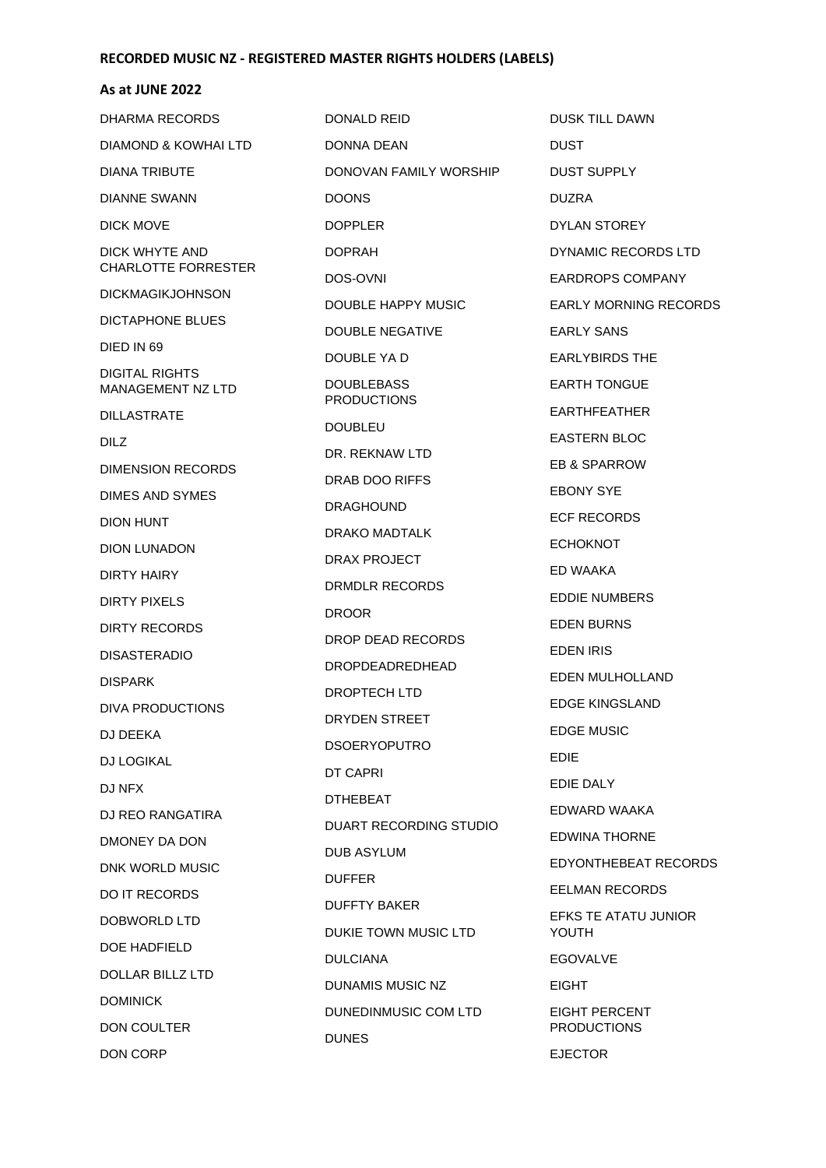#### **As at JUNE 2022**

DHARMA RECORDS DIAMOND & KOWHAI LTD DIANA TRIBUTE DIANNE SWANN DICK MOVE DICK WHYTE AND CHARLOTTE FORRESTER DICKMAGIKJOHNSON DICTAPHONE BLUES DIED IN 69 DIGITAL RIGHTS MANAGEMENT NZ LTD DILLASTRATE DILZ DIMENSION RECORDS DIMES AND SYMES DION HUNT DION LUNADON DIRTY HAIRY DIRTY PIXELS DIRTY RECORDS DISASTERADIO DISPARK DIVA PRODUCTIONS DJ DEEKA DJ LOGIKAL DJ NFX DJ REO RANGATIRA DMONEY DA DON DNK WORLD MUSIC DO IT RECORDS DOBWORLD LTD DOE HADFIELD DOLLAR BILLZ LTD DOMINICK DON COULTER DON CORP

DONALD REID DONNA DEAN DONOVAN FAMILY WORSHIP DOONS DOPPLER DOPRAH DOS-OVNI DOUBLE HAPPY MUSIC DOUBLE NEGATIVE DOUBLE YA D DOUBLEBASS PRODUCTIONS DOUBLEU DR. REKNAW LTD DRAB DOO RIFFS DRAGHOUND DRAKO MADTALK DRAX PROJECT DRMDLR RECORDS DROOR DROP DEAD RECORDS DROPDEADREDHEAD DROPTECH LTD DRYDEN STREET DSOERYOPUTRO DT CAPRI DTHEBEAT DUART RECORDING STUDIO DUB ASYLUM DUFFER DUFFTY BAKER DUKIE TOWN MUSIC LTD DULCIANA DUNAMIS MUSIC NZ DUNEDINMUSIC COM LTD DUNES

DUSK TILL DAWN DUST DUST SUPPLY DUZRA DYLAN STOREY DYNAMIC RECORDS LTD EARDROPS COMPANY EARLY MORNING RECORDS EARLY SANS EARLYBIRDS THE EARTH TONGUE EARTHFEATHER EASTERN BLOC EB & SPARROW EBONY SYE ECF RECORDS ECHOKNOT ED WAAKA EDDIE NUMBERS EDEN BURNS EDEN IRIS EDEN MULHOLLAND EDGE KINGSLAND EDGE MUSIC EDIE EDIE DALY EDWARD WAAKA EDWINA THORNE EDYONTHEBEAT RECORDS EELMAN RECORDS EFKS TE ATATU JUNIOR YOUTH EGOVALVE EIGHT EIGHT PERCENT PRODUCTIONS EJECTOR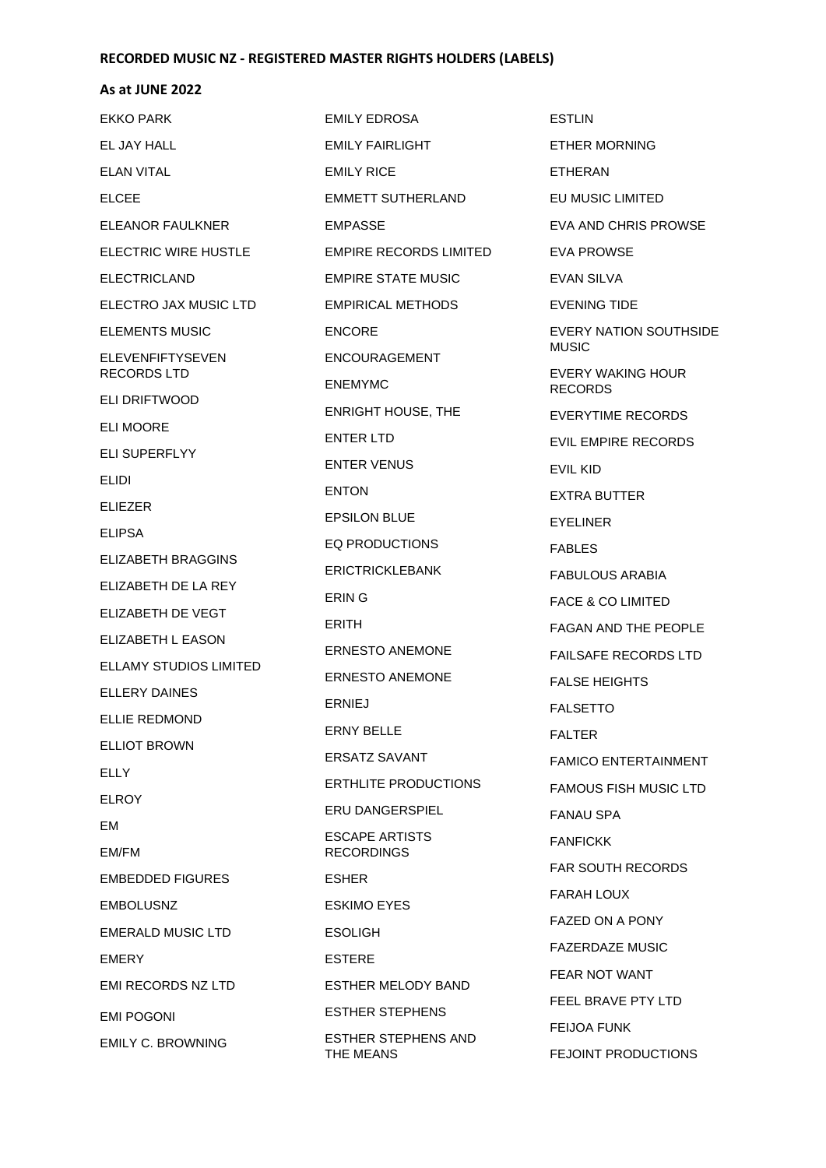### **As at JUNE 2022**

EKKO PARK EL JAY HALL ELAN VITAL ELCEE ELEANOR FAULKNER ELECTRIC WIRE HUSTLE ELECTRICLAND ELECTRO JAX MUSIC LTD ELEMENTS MUSIC ELEVENFIFTYSEVEN RECORDS LTD ELI DRIFTWOOD ELI MOORE ELI SUPERFLYY ELIDI ELIEZER ELIPSA ELIZABETH BRAGGINS ELIZABETH DE LA REY ELIZABETH DE VEGT ELIZABETH L EASON ELLAMY STUDIOS LIMITED ELLERY DAINES ELLIE REDMOND ELLIOT BROWN **ELLY** ELROY EM EM/FM EMBEDDED FIGURES EMBOLUSNZ EMERALD MUSIC LTD EMERY EMI RECORDS NZ LTD EMI POGONI EMILY C. BROWNING EMILY EDROSA

EMILY FAIRLIGHT EMILY RICE EMMETT SUTHERLAND EMPASSE EMPIRE RECORDS LIMITED EMPIRE STATE MUSIC EMPIRICAL METHODS ENCORE ENCOURAGEMENT ENEMYMC ENRIGHT HOUSE, THE ENTER LTD ENTER VENUS ENTON EPSILON BLUE EQ PRODUCTIONS ERICTRICKLEBANK ERIN G ERITH ERNESTO ANEMONE ERNESTO ANEMONE ERNIEJ ERNY BELLE ERSATZ SAVANT ERTHLITE PRODUCTIONS ERU DANGERSPIEL ESCAPE ARTISTS RECORDINGS ESHER ESKIMO EYES ESOLIGH ESTERE ESTHER MELODY BAND ESTHER STEPHENS ESTHER STEPHENS AND THE MEANS

ESTLIN ETHER MORNING ETHERAN EU MUSIC LIMITED EVA AND CHRIS PROWSE EVA PROWSE EVAN SILVA EVENING TIDE EVERY NATION SOUTHSIDE MUSIC EVERY WAKING HOUR RECORDS EVERYTIME RECORDS EVIL EMPIRE RECORDS EVIL KID EXTRA BUTTER EYELINER FABLES FABULOUS ARABIA FACE & CO LIMITED FAGAN AND THE PEOPLE FAILSAFE RECORDS LTD FALSE HEIGHTS FALSETTO FALTER FAMICO ENTERTAINMENT FAMOUS FISH MUSIC LTD FANAU SPA FANFICKK FAR SOUTH RECORDS FARAH LOUX FAZED ON A PONY FAZERDAZE MUSIC FEAR NOT WANT FEEL BRAVE PTY LTD FEIJOA FUNK FEJOINT PRODUCTIONS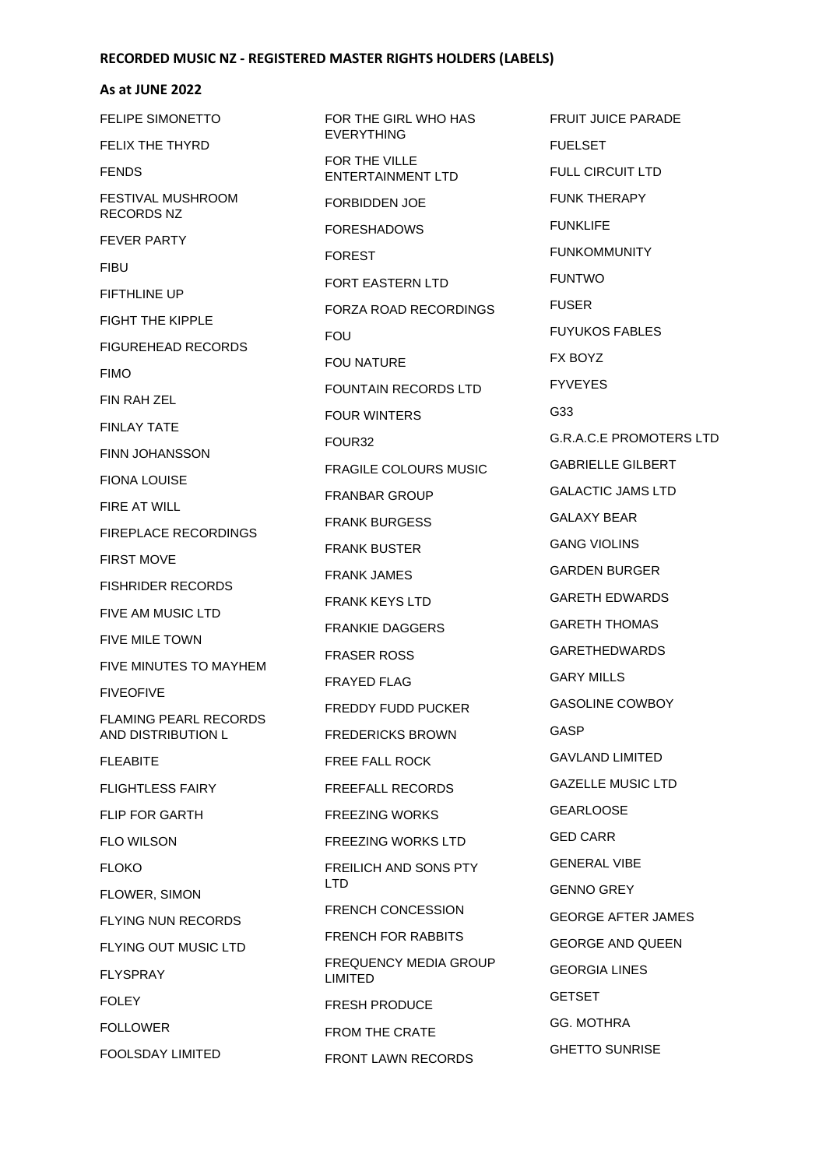### **As at JUNE 2022**

FELIPE SIMONETTO FELIX THE THYRD FENDS FESTIVAL MUSHROOM RECORDS NZ FEVER PARTY FIBU FIFTHLINE UP FIGHT THE KIPPLE FIGUREHEAD RECORDS FIMO FIN RAH ZEL FINLAY TATE FINN JOHANSSON FIONA LOUISE FIRE AT WILL FIREPLACE RECORDINGS FIRST MOVE FISHRIDER RECORDS FIVE AM MUSIC LTD FIVE MILE TOWN FIVE MINUTES TO MAYHEM FIVEOFIVE FLAMING PEARL RECORDS AND DISTRIBUTION L FLEABITE FLIGHTLESS FAIRY FLIP FOR GARTH FLO WILSON FLOKO FLOWER, SIMON FLYING NUN RECORDS FLYING OUT MUSIC LTD FLYSPRAY FOLEY FOLLOWER FOOLSDAY LIMITED

FOR THE GIRL WHO HAS EVERYTHING FOR THE VILLE ENTERTAINMENT LTD FORBIDDEN JOE FORESHADOWS FOREST FORT EASTERN LTD FORZA ROAD RECORDINGS FOU FOU NATURE FOUNTAIN RECORDS LTD FOUR WINTERS FOUR32 FRAGILE COLOURS MUSIC FRANBAR GROUP FRANK BURGESS FRANK BUSTER FRANK JAMES FRANK KEYS LTD FRANKIE DAGGERS FRASER ROSS FRAYED FLAG FREDDY FUDD PUCKER FREDERICKS BROWN FREE FALL ROCK FREEFALL RECORDS FREEZING WORKS FREEZING WORKS LTD FREILICH AND SONS PTY LTD FRENCH CONCESSION FRENCH FOR RABBITS FREQUENCY MEDIA GROUP LIMITED FRESH PRODUCE FROM THE CRATE FRONT LAWN RECORDS

FRUIT JUICE PARADE FUELSET FULL CIRCUIT LTD FUNK THERAPY FUNKLIFE FUNKOMMUNITY FUNTWO FUSER FUYUKOS FABLES FX BOYZ FYVEYES G33 G.R.A.C.E PROMOTERS LTD GABRIELLE GILBERT GALACTIC JAMS LTD GALAXY BEAR GANG VIOLINS GARDEN BURGER GARETH EDWARDS GARETH THOMAS GARETHEDWARDS GARY MILLS GASOLINE COWBOY GASP GAVLAND LIMITED GAZELLE MUSIC LTD **GEARLOOSE** GED CARR GENERAL VIBE GENNO GREY GEORGE AFTER JAMES GEORGE AND QUEEN GEORGIA LINES **GETSET** GG. MOTHRA GHETTO SUNRISE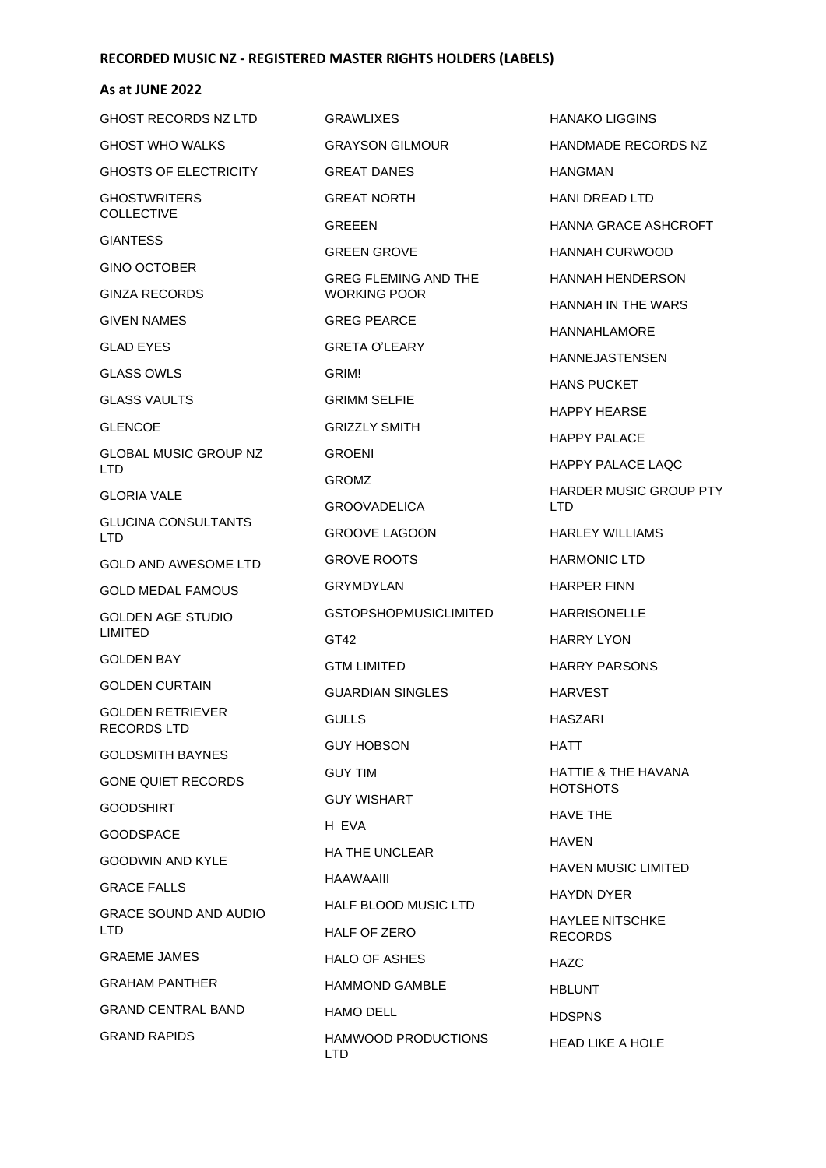#### **As at JUNE 2022**

| <b>GHOST RECORDS NZ LTD</b>                   | <b>GRAWLIXES</b>                            |
|-----------------------------------------------|---------------------------------------------|
| <b>GHOST WHO WALKS</b>                        | <b>GRAYSON GILMOUR</b>                      |
| <b>GHOSTS OF ELECTRICITY</b>                  | <b>GREAT DANES</b>                          |
| <b>GHOSTWRITERS</b><br><b>COLLECTIVE</b>      | <b>GREAT NORTH</b>                          |
|                                               | <b>GREEEN</b>                               |
| <b>GIANTESS</b>                               | <b>GREEN GROVE</b>                          |
| <b>GINO OCTOBER</b><br><b>GINZA RECORDS</b>   | <b>GREG FLEMING AND THE</b><br>WORKING POOR |
| <b>GIVEN NAMES</b>                            | <b>GREG PEARCE</b>                          |
|                                               |                                             |
| <b>GLAD EYES</b>                              | <b>GRETA O'LEARY</b>                        |
| <b>GLASS OWLS</b>                             | GRIM!                                       |
| <b>GLASS VAULTS</b>                           | <b>GRIMM SELFIE</b>                         |
| <b>GLENCOE</b>                                | <b>GRIZZLY SMITH</b>                        |
| <b>GLOBAL MUSIC GROUP NZ</b><br>LTD.          | <b>GROENI</b>                               |
| <b>GLORIA VALE</b>                            | <b>GROMZ</b>                                |
| <b>GLUCINA CONSULTANTS</b>                    | <b>GROOVADELICA</b>                         |
| LTD.                                          | <b>GROOVE LAGOON</b>                        |
| GOLD AND AWESOME LTD                          | <b>GROVE ROOTS</b>                          |
| <b>GOLD MEDAL FAMOUS</b>                      | GRYMDYLAN                                   |
| <b>GOLDEN AGE STUDIO</b>                      | <b>GSTOPSHOPMUSICLIMITED</b>                |
| <b>LIMITED</b>                                | GT42                                        |
| <b>GOLDEN BAY</b>                             | GTM LIMITED                                 |
| <b>GOLDEN CURTAIN</b>                         | <b>GUARDIAN SINGLES</b>                     |
| <b>GOLDEN RETRIEVER</b><br><b>RECORDS LTD</b> | GULLS                                       |
| <b>GOLDSMITH BAYNES</b>                       | <b>GUY HOBSON</b>                           |
| <b>GONE QUIET RECORDS</b>                     | <b>GUY TIM</b>                              |
| <b>GOODSHIRT</b>                              | <b>GUY WISHART</b>                          |
| <b>GOODSPACE</b>                              | H EVA                                       |
| GOODWIN AND KYLE                              | <b>HA THE UNCLEAR</b>                       |
| <b>GRACE FALLS</b>                            | HAAWAAIII                                   |
| <b>GRACE SOUND AND AUDIO</b>                  | <b>HALF BLOOD MUSIC LTD</b>                 |
| <b>LTD</b>                                    | <b>HALF OF ZERO</b>                         |
| <b>GRAEME JAMES</b>                           | <b>HALO OF ASHES</b>                        |
| <b>GRAHAM PANTHER</b>                         | <b>HAMMOND GAMBLE</b>                       |
| <b>GRAND CENTRAL BAND</b>                     | <b>HAMO DELL</b>                            |
| <b>GRAND RAPIDS</b>                           | HAMWOOD PRODUCTIONS<br>LTD                  |

HANAKO LIGGINS HANDMADE RECORDS NZ HANGMAN HANI DREAD LTD HANNA GRACE ASHCROFT HANNAH CURWOOD HANNAH HENDERSON HANNAH IN THE WARS HANNAHLAMORE HANNEJASTENSEN HANS PUCKET HAPPY HEARSE HAPPY PALACE HAPPY PALACE LAQC HARDER MUSIC GROUP PTY LTD HARLEY WILLIAMS HARMONIC LTD HARPER FINN HARRISONELLE HARRY LYON HARRY PARSONS HARVEST HASZARI HATT HATTIE & THE HAVANA **HOTSHOTS** HAVE THE HAVEN HAVEN MUSIC LIMITED HAYDN DYER HAYLEE NITSCHKE RECORDS HAZC HBLUNT **HDSPNS** HEAD LIKE A HOLE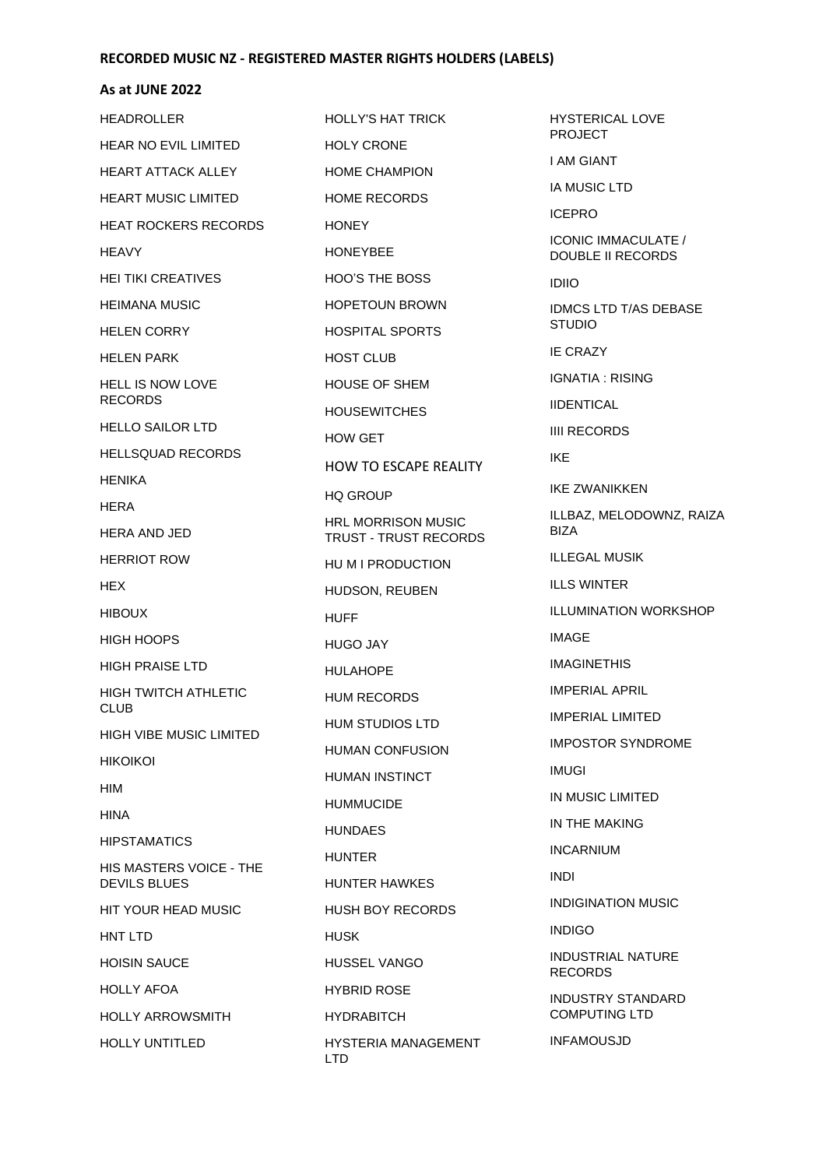### **As at JUNE 2022**

| <b>HEADROLLER</b>                                     | <b>HOLLY'S HAT TRICK</b>                   | <b>HYSTE</b>                  |
|-------------------------------------------------------|--------------------------------------------|-------------------------------|
| <b>HEAR NO EVIL LIMITED</b>                           | <b>HOLY CRONE</b>                          | <b>PROJE</b>                  |
| <b>HEART ATTACK ALLEY</b>                             | <b>HOME CHAMPION</b>                       | I AM G                        |
| <b>HEART MUSIC LIMITED</b>                            | <b>HOME RECORDS</b>                        | <b>IA MUS</b>                 |
| <b>HEAT ROCKERS RECORDS</b>                           | <b>HONEY</b>                               | <b>ICEPR</b>                  |
| <b>HEAVY</b>                                          | <b>HONEYBEE</b>                            | <b>ICONIC</b><br><b>DOUBI</b> |
| <b>HEI TIKI CREATIVES</b>                             | <b>HOO'S THE BOSS</b>                      | <b>IDIIO</b>                  |
| <b>HEIMANA MUSIC</b>                                  | <b>HOPETOUN BROWN</b>                      | <b>IDMCS</b>                  |
| <b>HELEN CORRY</b>                                    | <b>HOSPITAL SPORTS</b>                     | <b>STUDI</b>                  |
| <b>HELEN PARK</b>                                     | <b>HOST CLUB</b>                           | IE CRA                        |
| <b>HELL IS NOW LOVE</b><br><b>RECORDS</b>             | <b>HOUSE OF SHEM</b>                       | <b>IGNAT</b>                  |
|                                                       | <b>HOUSEWITCHES</b>                        | <b>IIDENT</b>                 |
| <b>HELLO SAILOR LTD</b>                               | <b>HOW GET</b>                             | <b>IIII REC</b>               |
| <b>HELLSQUAD RECORDS</b>                              | <b>HOW TO ESCAPE REALITY</b>               | <b>IKF</b>                    |
| <b>HENIKA</b>                                         | <b>HQ GROUP</b>                            | <b>IKE ZW</b>                 |
| <b>HERA</b><br><b>HERA AND JED</b>                    | <b>HRL MORRISON MUSIC</b>                  | ILLBAZ<br><b>BIZA</b>         |
| <b>HERRIOT ROW</b>                                    | TRUST - TRUST RECORDS<br>HU M I PRODUCTION | ILLEG/                        |
| HEX.                                                  | HUDSON, REUBEN                             | <b>ILLS W</b>                 |
| <b>HIBOUX</b>                                         | <b>HUFF</b>                                | ILLUMI                        |
| <b>HIGH HOOPS</b>                                     | <b>HUGO JAY</b>                            | <b>IMAGE</b>                  |
| <b>HIGH PRAISE LTD</b>                                | <b>HULAHOPE</b>                            | <b>IMAGIN</b>                 |
| <b>HIGH TWITCH ATHLETIC</b>                           | <b>HUM RECORDS</b>                         | <b>IMPER</b>                  |
| <b>CLUB</b>                                           | HUM STUDIOS LTD                            | <b>IMPER</b>                  |
| <b>HIGH VIBE MUSIC LIMITED</b>                        | <b>HUMAN CONFUSION</b>                     | <b>IMPOS</b>                  |
| <b>HIKOIKOI</b>                                       | <b>HUMAN INSTINCT</b>                      | <b>IMUGI</b>                  |
| HIM                                                   | <b>HUMMUCIDE</b>                           | IN MUS                        |
| <b>HINA</b>                                           | <b>HUNDAES</b>                             | IN THE                        |
| <b>HIPSTAMATICS</b>                                   | <b>HUNTER</b>                              | <b>INCAR</b>                  |
| <b>HIS MASTERS VOICE - THE</b><br><b>DEVILS BLUES</b> | HUNTER HAWKES                              | <b>INDI</b>                   |
| <b>HIT YOUR HEAD MUSIC</b>                            | <b>HUSH BOY RECORDS</b>                    | <b>INDIGI</b>                 |
| HNT LTD                                               | <b>HUSK</b>                                | <b>INDIGC</b>                 |
| <b>HOISIN SAUCE</b>                                   | <b>HUSSEL VANGO</b>                        | <b>INDUS</b><br><b>RECOR</b>  |
| <b>HOLLY AFOA</b>                                     | <b>HYBRID ROSE</b>                         | <b>INDUS</b>                  |
| <b>HOLLY ARROWSMITH</b>                               | <b>HYDRABITCH</b>                          | <b>COMPI</b>                  |
| <b>HOLLY UNTITLED</b>                                 | HYSTERIA MANAGEMENT<br><b>LTD</b>          | <b>INFAM</b>                  |

HYSTERICAL LOVE ECT **I ANT** SIC LTD ICEPRO C IMMACULATE / LE II RECORDS S LTD T/AS DEBASE STUDIO AZY **IA: RISING TICAL** CORDS **VANIKKEN** Z, MELODOWNZ, RAIZA **AL MUSIK** VINTER IINATION WORKSHOP **NETHIS RIAL APRIL RIAL LIMITED ITOR SYNDROME SIC LIMITED** E MAKING **INUM INATION MUSIC**  $\overline{O}$ **ITRIAL NATURE** RDS **ITRY STANDARD UTING LTD** 

**IOUSJD**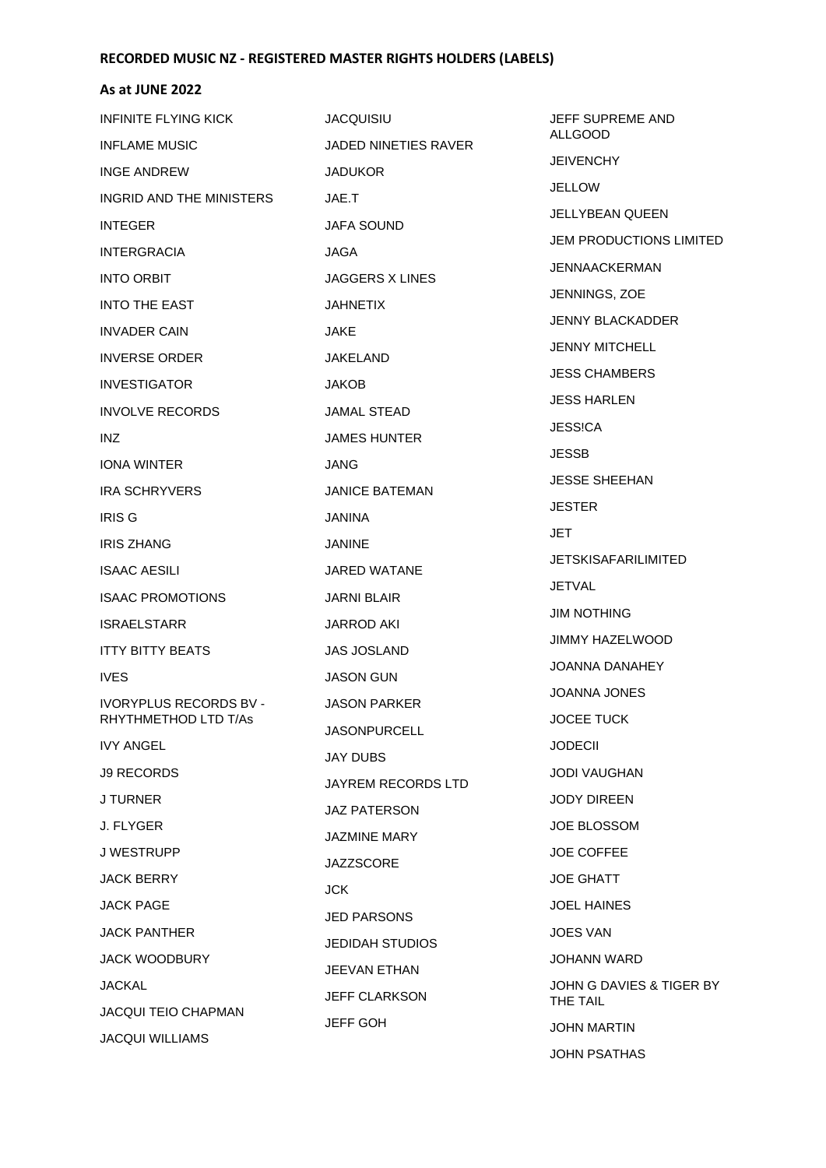| INFINITE FLYING KICK       | <b>JACQUISIU</b>       | JEFF SUPREME AND                   |
|----------------------------|------------------------|------------------------------------|
| <b>INFLAME MUSIC</b>       | JADED NINETIES RAVER   | <b>ALLGOOD</b><br><b>JEIVENCHY</b> |
| INGE ANDREW                | <b>JADUKOR</b>         |                                    |
| INGRID AND THE MINISTERS   | JAE.T                  | <b>JELLOW</b>                      |
| <b>INTEGER</b>             | JAFA SOUND             | <b>JELLYBEAN QUEEN</b>             |
| <b>INTERGRACIA</b>         | <b>JAGA</b>            | JEM PRODUCTIONS LIMITED            |
| <b>INTO ORBIT</b>          | <b>JAGGERS X LINES</b> | <b>JENNAACKERMAN</b>               |
| <b>INTO THE EAST</b>       | <b>JAHNETIX</b>        | JENNINGS, ZOE                      |
| <b>INVADER CAIN</b>        | JAKE                   | <b>JENNY BLACKADDER</b>            |
| <b>INVERSE ORDER</b>       | JAKELAND               | <b>JENNY MITCHELL</b>              |
| <b>INVESTIGATOR</b>        | <b>JAKOB</b>           | <b>JESS CHAMBERS</b>               |
| <b>INVOLVE RECORDS</b>     | JAMAL STEAD            | JESS HARLEN                        |
| INZ                        | <b>JAMES HUNTER</b>    | JESS!CA                            |
| <b>IONA WINTER</b>         | JANG                   | <b>JESSB</b>                       |
| <b>IRA SCHRYVERS</b>       | <b>JANICE BATEMAN</b>  | <b>JESSE SHEEHAN</b>               |
| <b>IRIS G</b>              | JANINA                 | <b>JESTER</b>                      |
| <b>IRIS ZHANG</b>          | <b>JANINE</b>          | JET                                |
| <b>ISAAC AESILI</b>        | JARED WATANE           | JETSKISAFARILIMITED                |
| <b>ISAAC PROMOTIONS</b>    | <b>JARNI BLAIR</b>     | <b>JETVAL</b>                      |
| <b>ISRAELSTARR</b>         | <b>JARROD AKI</b>      | <b>JIM NOTHING</b>                 |
| <b>ITTY BITTY BEATS</b>    | <b>JAS JOSLAND</b>     | <b>JIMMY HAZELWOOD</b>             |
| <b>IVES</b>                | <b>JASON GUN</b>       | JOANNA DANAHEY                     |
| IVORYPLUS RECORDS BV -     | <b>JASON PARKER</b>    | <b>JOANNA JONES</b>                |
| RHYTHMETHOD LTD T/As       | <b>JASONPURCELL</b>    | <b>JOCEE TUCK</b>                  |
| <b>IVY ANGEL</b>           | <b>JAY DUBS</b>        | <b>JODECII</b>                     |
| <b>J9 RECORDS</b>          | JAYREM RECORDS LTD     | <b>JODI VAUGHAN</b>                |
| J TURNER                   | <b>JAZ PATERSON</b>    | <b>JODY DIREEN</b>                 |
| J. FLYGER                  | <b>JAZMINE MARY</b>    | <b>JOE BLOSSOM</b>                 |
| <b>J WESTRUPP</b>          | <b>JAZZSCORE</b>       | <b>JOE COFFEE</b>                  |
| <b>JACK BERRY</b>          | <b>JCK</b>             | <b>JOE GHATT</b>                   |
| <b>JACK PAGE</b>           | <b>JED PARSONS</b>     | <b>JOEL HAINES</b>                 |
| <b>JACK PANTHER</b>        |                        | <b>JOES VAN</b>                    |
| <b>JACK WOODBURY</b>       | <b>JEDIDAH STUDIOS</b> | <b>JOHANN WARD</b>                 |
| <b>JACKAL</b>              | JEEVAN ETHAN           | JOHN G DAVIES & TIGER BY           |
| <b>JACQUI TEIO CHAPMAN</b> | <b>JEFF CLARKSON</b>   | THE TAIL                           |
| <b>JACQUI WILLIAMS</b>     | <b>JEFF GOH</b>        | <b>JOHN MARTIN</b>                 |
|                            |                        | JOHN PSATHAS                       |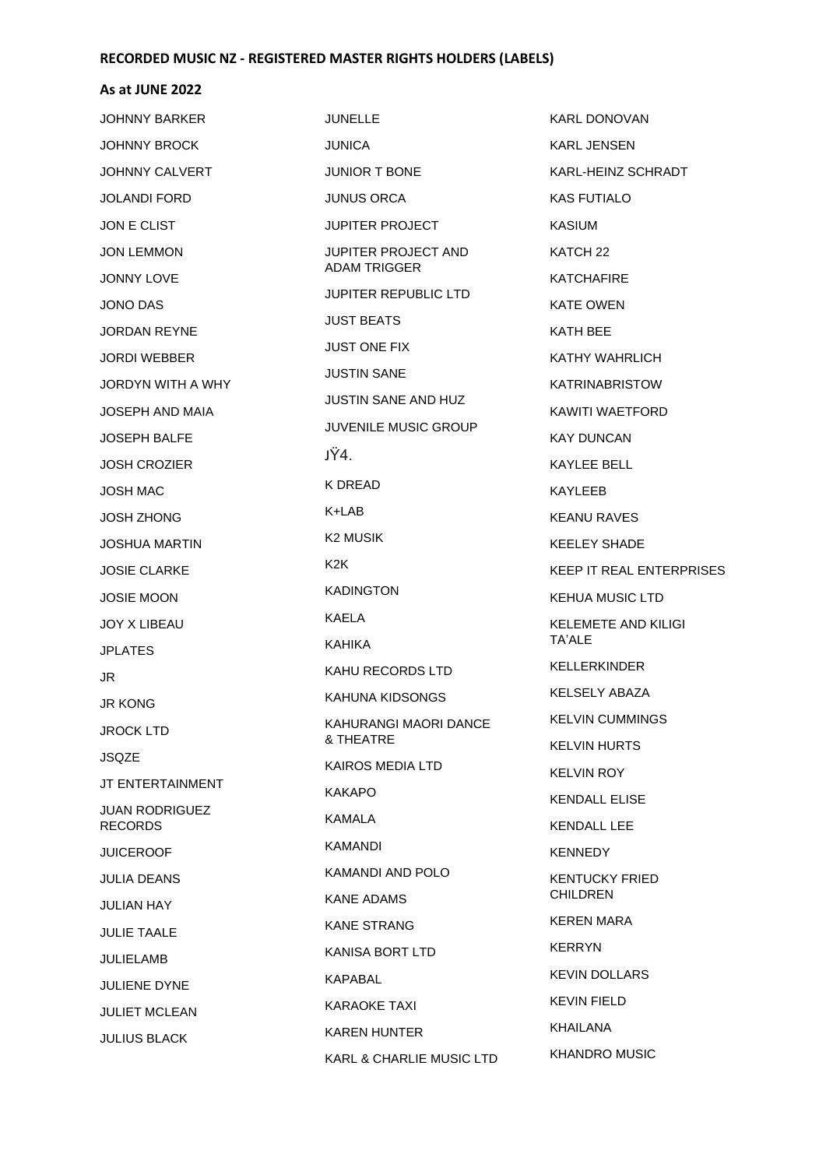#### **As at JUNE 2022**

JOHNNY BARKER JOHNNY BROCK JOHNNY CALVERT JOLANDI FORD JON E CLIST JON LEMMON JONNY LOVE JONO DAS JORDAN REYNE JORDI WEBBER JORDYN WITH A WHY JOSEPH AND MAIA JOSEPH BALFE JOSH CROZIER JOSH MAC JOSH ZHONG JOSHUA MARTIN JOSIE CLARKE JOSIE MOON JOY X LIBEAU JPLATES JR JR KONG JROCK LTD JSQZE JT ENTERTAINMENT JUAN RODRIGUEZ RECORDS JUICEROOF JULIA DEANS JULIAN HAY JULIE TAALE JULIELAMB JULIENE DYNE JULIET MCLEAN JULIUS BLACK JUNELLE JUNICA JUNIOR T BONE JUNUS ORCA JUPITER PROJECT JUPITER PROJECT AND ADAM TRIGGER JUPITER REPUBLIC LTD JUST BEATS JUST ONE FIX JUSTIN SANE JUSTIN SANE AND HUZ JUVENILE MUSIC GROUP JŸ4. K DREAD K+LAB K2 MUSIK K2K KADINGTON KAELA KAHIKA KAHU RECORDS LTD KAHUNA KIDSONGS KAHURANGI MAORI DANCE & THEATRE KAIROS MEDIA LTD KAKAPO KAMALA KAMANDI KAMANDI AND POLO KANE ADAMS KANE STRANG KANISA BORT LTD KAPABAL KARAOKE TAXI KAREN HUNTER KARL & CHARLIE MUSIC LTD KARL DONOVAN KARL JENSEN KARL-HEINZ SCHRADT KAS FUTIALO KASIUM KATCH 22 **KATCHAFIRE** KATE OWEN KATH BEE KATHY WAHRLICH KATRINABRISTOW KAWITI WAETFORD KAY DUNCAN KAYLEE BELL KAYLEEB KEANU RAVES KEELEY SHADE KEEP IT REAL ENTERPRISES KEHUA MUSIC LTD KELEMETE AND KILIGI TA'ALE KELLERKINDER KELSELY ABAZA KELVIN CUMMINGS KELVIN HURTS KELVIN ROY KENDALL ELISE KENDALL LEE KENNEDY KENTUCKY FRIED CHILDREN KEREN MARA KERRYN KEVIN DOLLARS KEVIN FIELD KHAILANA KHANDRO MUSIC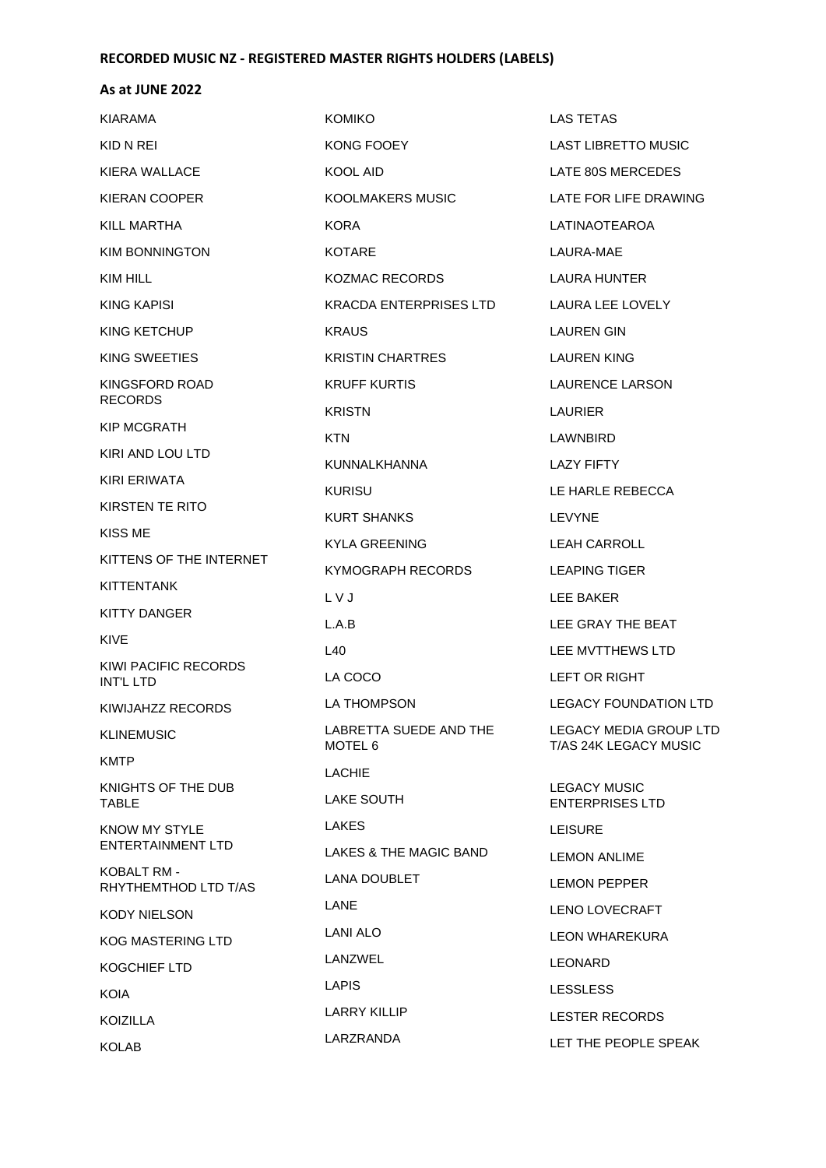| <b>KIARAMA</b>                      | <b>KOMIKO</b>                     | <b>LAS TETAS</b>                                       |
|-------------------------------------|-----------------------------------|--------------------------------------------------------|
| KID N REI                           | KONG FOOEY                        | <b>LAST LIBRETTO MUSIC</b>                             |
| KIERA WALLACE                       | KOOL AID                          | LATE 80S MERCEDES                                      |
| KIERAN COOPER                       | KOOLMAKERS MUSIC                  | LATE FOR LIFE DRAWING                                  |
| KILL MARTHA                         | <b>KORA</b>                       | LATINAOTEAROA                                          |
| KIM BONNINGTON                      | <b>KOTARE</b>                     | LAURA-MAE                                              |
| KIM HILL                            | <b>KOZMAC RECORDS</b>             | LAURA HUNTER                                           |
| KING KAPISI                         | KRACDA ENTERPRISES LTD            | LAURA LEE LOVELY                                       |
| KING KETCHUP                        | <b>KRAUS</b>                      | LAUREN GIN                                             |
| KING SWEETIES                       | <b>KRISTIN CHARTRES</b>           | LAUREN KING                                            |
| KINGSFORD ROAD                      | <b>KRUFF KURTIS</b>               | LAURENCE LARSON                                        |
| <b>RECORDS</b>                      | <b>KRISTN</b>                     | LAURIER                                                |
| <b>KIP MCGRATH</b>                  | <b>KTN</b>                        | LAWNBIRD                                               |
| KIRI AND LOU LTD                    | KUNNALKHANNA                      | <b>LAZY FIFTY</b>                                      |
| KIRI ERIWATA                        | <b>KURISU</b>                     | LE HARLE REBECCA                                       |
| KIRSTEN TE RITO                     | <b>KURT SHANKS</b>                | LEVYNE                                                 |
| KISS ME                             | KYLA GREENING                     | <b>LEAH CARROLL</b>                                    |
| KITTENS OF THE INTERNET             | KYMOGRAPH RECORDS                 | <b>LEAPING TIGER</b>                                   |
| KITTENTANK                          | L V J                             | <b>LEE BAKER</b>                                       |
| <b>KITTY DANGER</b>                 | L.A.B                             | LEE GRAY THE BEAT                                      |
| KIVE                                | L40                               | LEE MVTTHEWS LTD                                       |
| KIWI PACIFIC RECORDS<br>INT'L LTD   | LA COCO                           | LEFT OR RIGHT                                          |
| KIWIJAHZZ RECORDS                   | <b>LA THOMPSON</b>                | <b>LEGACY FOUNDATION LTD</b>                           |
| <b>KLINEMUSIC</b>                   | LABRETTA SUEDE AND THE<br>MOTEL 6 | <b>LEGACY MEDIA GROUP LTD</b><br>T/AS 24K LEGACY MUSIC |
| <b>KMTP</b>                         | <b>LACHIE</b>                     |                                                        |
| KNIGHTS OF THE DUB<br>TABLE         | <b>LAKE SOUTH</b>                 | <b>LEGACY MUSIC</b><br><b>ENTERPRISES LTD</b>          |
| KNOW MY STYLE                       | LAKES                             | <b>LEISURE</b>                                         |
| <b>ENTERTAINMENT LTD</b>            | LAKES & THE MAGIC BAND            | <b>LEMON ANLIME</b>                                    |
| KOBALT RM -<br>RHYTHEMTHOD LTD T/AS | <b>LANA DOUBLET</b>               | <b>LEMON PEPPER</b>                                    |
| <b>KODY NIELSON</b>                 | LANE                              | <b>LENO LOVECRAFT</b>                                  |
| <b>KOG MASTERING LTD</b>            | LANI ALO                          | LEON WHAREKURA                                         |
| KOGCHIEF LTD                        | LANZWEL                           | <b>LEONARD</b>                                         |
| KOIA                                | <b>LAPIS</b>                      | <b>LESSLESS</b>                                        |
| KOIZILLA                            | <b>LARRY KILLIP</b>               | <b>LESTER RECORDS</b>                                  |
| <b>KOLAB</b>                        | LARZRANDA                         | LET THE PEOPLE SPEAK                                   |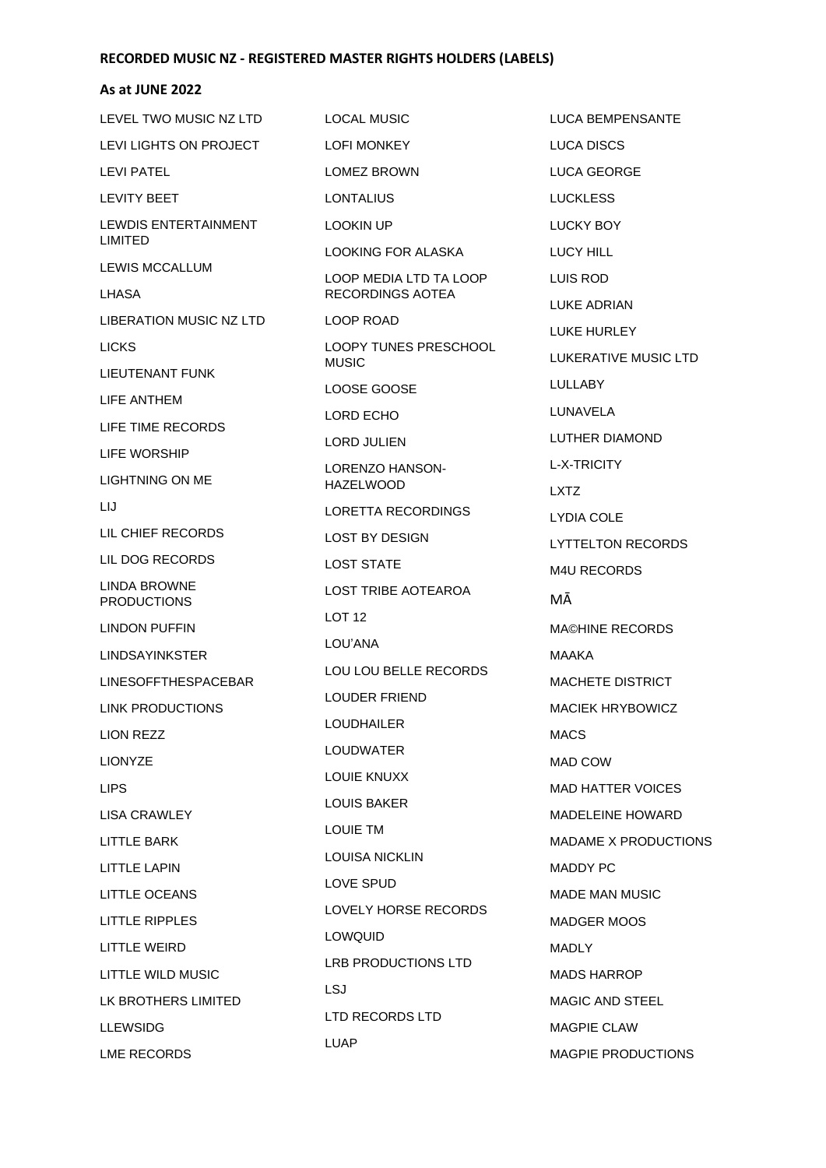### **As at JUNE 2022**

LEVEL TWO MUSIC NZ LTD LEVI LIGHTS ON PROJECT LEVI PATEL LEVITY BEET LEWDIS ENTERTAINMENT LIMITED LEWIS MCCALLUM LHASA LIBERATION MUSIC NZ LTD LICKS LIEUTENANT FUNK LIFE ANTHEM LIFE TIME RECORDS LIFE WORSHIP LIGHTNING ON ME LIJ LIL CHIEF RECORDS LIL DOG RECORDS LINDA BROWNE PRODUCTIONS LINDON PUFFIN LINDSAYINKSTER LINESOFFTHESPACEBAR LINK PRODUCTIONS LION REZZ LIONYZE LIPS LISA CRAWLEY LITTLE BARK LITTLE LAPIN LITTLE OCEANS LITTLE RIPPLES LITTLE WEIRD LITTLE WILD MUSIC LK BROTHERS LIMITED LLEWSIDG LME RECORDS LOCAL MUSIC LOFI MONKEY LOMEZ BROWN **LONTALIUS** LOOKIN UP LOOKING FOR ALASKA LOOP MEDIA LTD TA LOOP RECORDINGS AOTEA LOOP ROAD LOOPY TUNES PRESCHOOL MUSIC LOOSE GOOSE LORD ECHO LORD JULIEN LORENZO HANSON-HAZELWOOD LORETTA RECORDINGS LOST BY DESIGN LOST STATE LOST TRIBE AOTEAROA LOT 12 LOU'ANA LOU LOU BELLE RECORDS LOUDER FRIEND LOUDHAILER LOUDWATER LOUIE KNUXX LOUIS BAKER LOUIE TM LOUISA NICKLIN LOVE SPUD LOVELY HORSE RECORDS LOWQUID LRB PRODUCTIONS LTD LSJ LTD RECORDS LTD LUAP

LUCA BEMPENSANTE LUCA DISCS LUCA GEORGE LUCKLESS LUCKY BOY LUCY HILL LUIS ROD LUKE ADRIAN LUKE HURLEY LUKERATIVE MUSIC LTD LULLABY LUNAVELA LUTHER DIAMOND L-X-TRICITY LXTZ LYDIA COLE LYTTELTON RECORDS M4U RECORDS MĀ MA©HINE RECORDS MAAKA MACHETE DISTRICT MACIEK HRYBOWICZ MACS MAD COW MAD HATTER VOICES MADELEINE HOWARD MADAME X PRODUCTIONS MADDY PC MADE MAN MUSIC MADGER MOOS MADLY MADS HARROP MAGIC AND STEEL MAGPIE CLAW MAGPIE PRODUCTIONS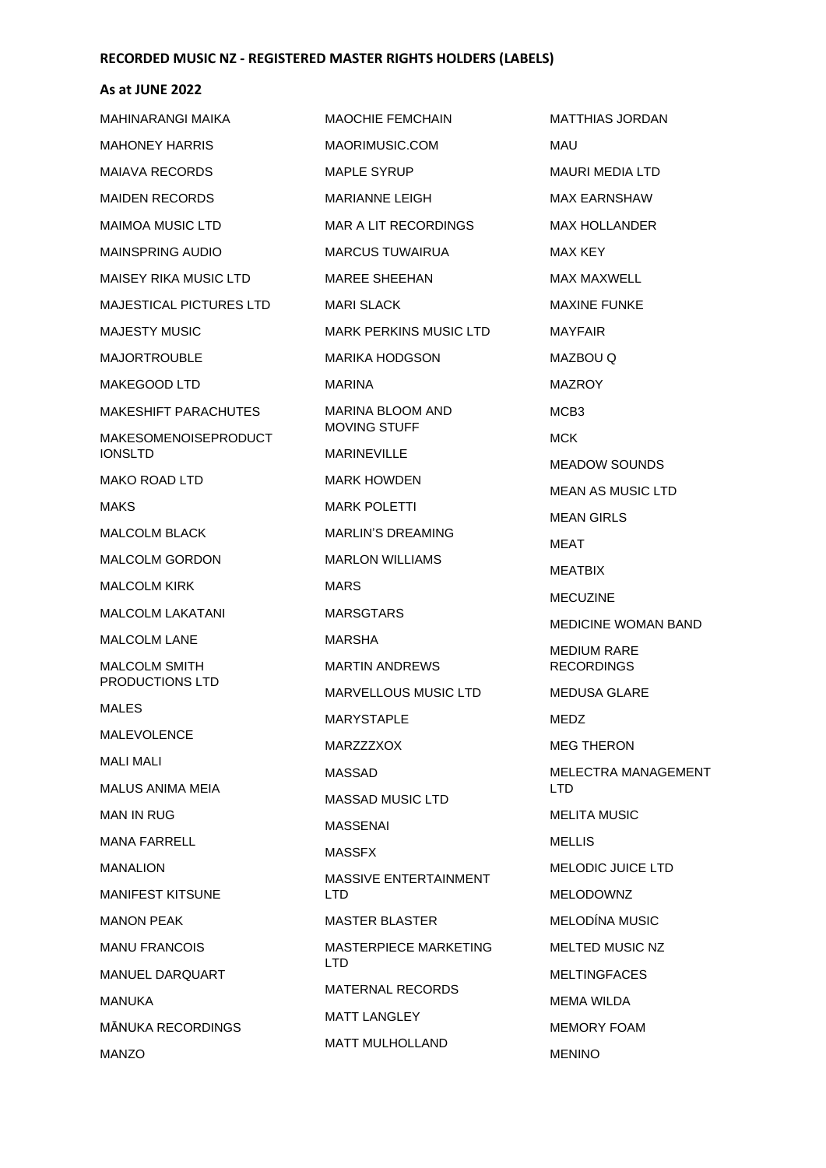| MAHINARANGI MAIKA                       | <b>MAOCHIE FEMCHAIN</b>             | <b>MATTHIAS JORDAN</b>             |
|-----------------------------------------|-------------------------------------|------------------------------------|
| <b>MAHONEY HARRIS</b>                   | MAORIMUSIC.COM                      | MAU                                |
| <b>MAIAVA RECORDS</b>                   | <b>MAPLE SYRUP</b>                  | MAURI MEDIA LTD                    |
| <b>MAIDEN RECORDS</b>                   | <b>MARIANNE LEIGH</b>               | <b>MAX EARNSHAW</b>                |
| MAIMOA MUSIC LTD                        | MAR A LIT RECORDINGS                | <b>MAX HOLLANDER</b>               |
| <b>MAINSPRING AUDIO</b>                 | <b>MARCUS TUWAIRUA</b>              | MAX KEY                            |
| MAISEY RIKA MUSIC LTD                   | <b>MAREE SHEEHAN</b>                | MAX MAXWELL                        |
| <b>MAJESTICAL PICTURES LTD</b>          | <b>MARI SLACK</b>                   | <b>MAXINE FUNKE</b>                |
| <b>MAJESTY MUSIC</b>                    | <b>MARK PERKINS MUSIC LTD</b>       | <b>MAYFAIR</b>                     |
| <b>MAJORTROUBLE</b>                     | MARIKA HODGSON                      | MAZBOU Q                           |
| MAKEGOOD LTD                            | <b>MARINA</b>                       | <b>MAZROY</b>                      |
| <b>MAKESHIFT PARACHUTES</b>             | <b>MARINA BLOOM AND</b>             | MCB <sub>3</sub>                   |
| <b>MAKESOMENOISEPRODUCT</b>             | <b>MOVING STUFF</b>                 | <b>MCK</b>                         |
| <b>IONSLTD</b>                          | <b>MARINEVILLE</b>                  | <b>MEADOW SOUNDS</b>               |
| MAKO ROAD LTD                           | <b>MARK HOWDEN</b>                  | MEAN AS MUSIC LTD                  |
| <b>MAKS</b>                             | <b>MARK POLETTI</b>                 | <b>MEAN GIRLS</b>                  |
| <b>MALCOLM BLACK</b>                    | <b>MARLIN'S DREAMING</b>            | MEAT                               |
| <b>MALCOLM GORDON</b>                   | <b>MARLON WILLIAMS</b>              | MEATBIX                            |
| <b>MALCOLM KIRK</b>                     | <b>MARS</b>                         | <b>MECUZINE</b>                    |
| <b>MALCOLM LAKATANI</b>                 | <b>MARSGTARS</b>                    | <b>MEDICINE WOMAN BAND</b>         |
| <b>MALCOLM LANE</b>                     | MARSHA                              | <b>MEDIUM RARE</b>                 |
| <b>MALCOLM SMITH</b><br>PRODUCTIONS LTD | <b>MARTIN ANDREWS</b>               | <b>RECORDINGS</b>                  |
| MALES                                   | MARVELLOUS MUSIC LTD                | <b>MEDUSA GLARE</b>                |
| <b>MALEVOLENCE</b>                      | <b>MARYSTAPLE</b>                   | MEDZ                               |
| <b>MALI MALI</b>                        | MARZZZXOX                           | <b>MEG THERON</b>                  |
| MALUS ANIMA MEIA                        | <b>MASSAD</b>                       | <b>MELECTRA MANAGEMENT</b><br>LTD. |
| <b>MAN IN RUG</b>                       | <b>MASSAD MUSIC LTD</b>             | <b>MELITA MUSIC</b>                |
| <b>MANA FARRELL</b>                     | MASSENAI                            | <b>MELLIS</b>                      |
| <b>MANALION</b>                         | <b>MASSFX</b>                       | MELODIC JUICE LTD                  |
| <b>MANIFEST KITSUNE</b>                 | MASSIVE ENTERTAINMENT<br><b>LTD</b> | <b>MELODOWNZ</b>                   |
| <b>MANON PEAK</b>                       | <b>MASTER BLASTER</b>               | <b>MELODÍNA MUSIC</b>              |
| <b>MANU FRANCOIS</b>                    | MASTERPIECE MARKETING               | <b>MELTED MUSIC NZ</b>             |
| MANUEL DARQUART                         | LTD.                                | <b>MELTINGFACES</b>                |
| MANUKA                                  | <b>MATERNAL RECORDS</b>             | MEMA WILDA                         |
| MĀNUKA RECORDINGS                       | MATT LANGLEY                        | <b>MEMORY FOAM</b>                 |
| <b>MANZO</b>                            | <b>MATT MULHOLLAND</b>              | <b>MENINO</b>                      |
|                                         |                                     |                                    |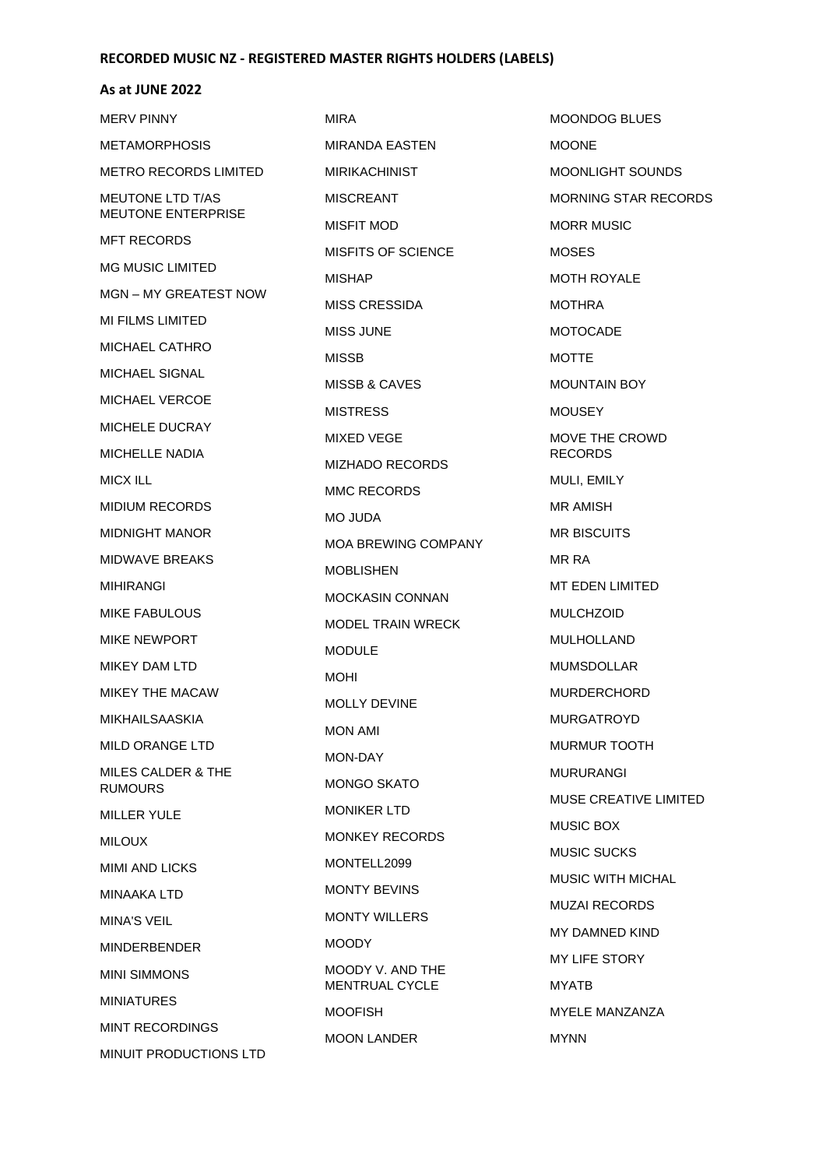#### **As at JUNE 2022**

MERV PINNY METAMORPHOSIS METRO RECORDS LIMITED MEUTONE LTD T/AS MEUTONE ENTERPRISE MFT RECORDS MG MUSIC LIMITED MGN – MY GREATEST NOW MI FILMS LIMITED MICHAEL CATHRO MICHAEL SIGNAL MICHAEL VERCOE MICHELE DUCRAY MICHELLE NADIA MICX ILL MIDIUM RECORDS MIDNIGHT MANOR MIDWAVE BREAKS MIHIRANGI MIKE FABULOUS MIKE NEWPORT MIKEY DAM LTD MIKEY THE MACAW MIKHAILSAASKIA MILD ORANGE LTD MILES CALDER & THE RUMOURS MILLER YULE MILOUX MIMI AND LICKS MINAAKA LTD MINA'S VEIL MINDERBENDER MINI SIMMONS MINIATURES MINT RECORDINGS MINUIT PRODUCTIONS LTD

MIRA MIRANDA EASTEN MIRIKACHINIST MISCREANT MISFIT MOD MISFITS OF SCIENCE MISHAP MISS CRESSIDA MISS JUNE MISSB MISSB & CAVES MISTRESS MIXED VEGE MIZHADO RECORDS MMC RECORDS MO JUDA MOA BREWING COMPANY MOBLISHEN MOCKASIN CONNAN MODEL TRAIN WRECK MODULE MOHI MOLLY DEVINE MON AMI MON-DAY MONGO SKATO MONIKER LTD MONKEY RECORDS MONTELL2099 MONTY BEVINS MONTY WILLERS **MOODY** MOODY V. AND THE MENTRUAL CYCLE MOOFISH MOON LANDER

MOONDOG BLUES **MOONE** MOONLIGHT SOUNDS MORNING STAR RECORDS MORR MUSIC MOSES MOTH ROYALE MOTHRA MOTOCADE MOTTE MOUNTAIN BOY MOUSEY MOVE THE CROWD RECORDS MULI, EMILY MR AMISH MR BISCUITS MR RA MT EDEN LIMITED MULCHZOID MULHOLLAND MUMSDOLLAR MURDERCHORD MURGATROYD MURMUR TOOTH MURURANGI MUSE CREATIVE LIMITED MUSIC BOX MUSIC SUCKS MUSIC WITH MICHAL MUZAI RECORDS MY DAMNED KIND MY LIFE STORY MYATB MYELE MANZANZA MYNN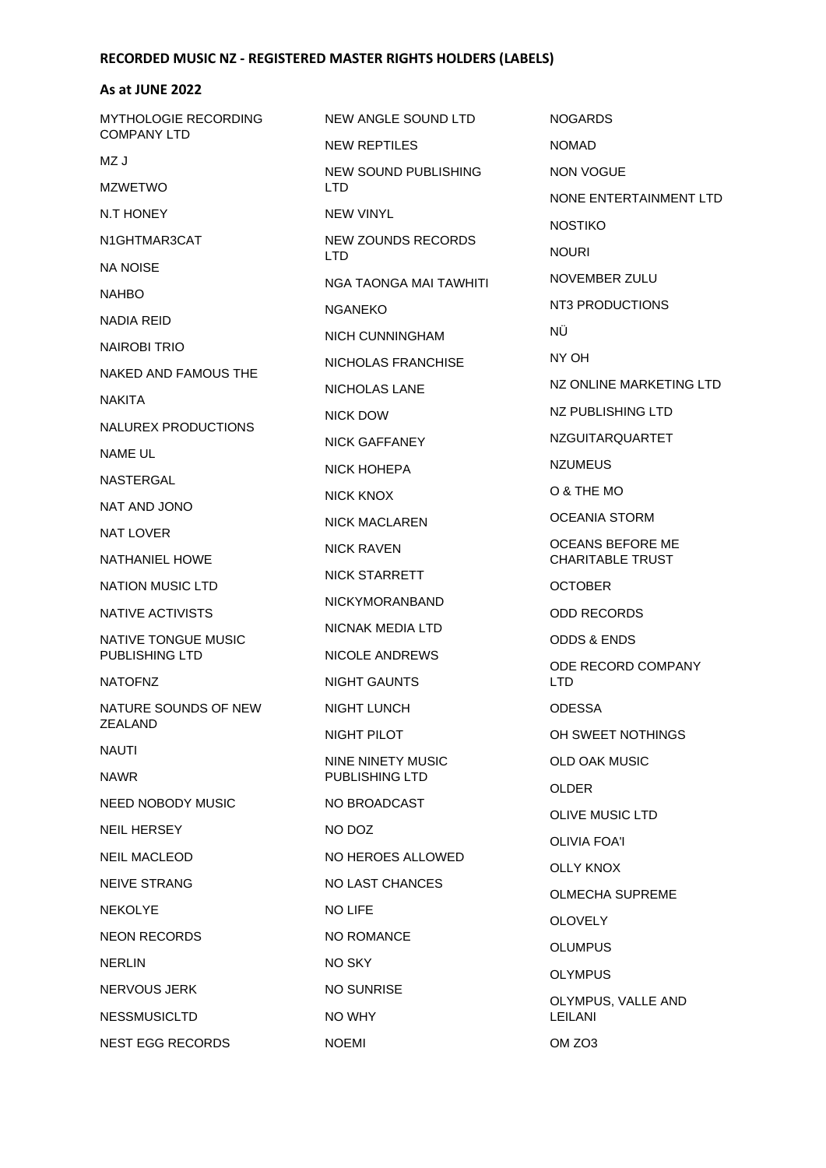### **As at JUNE 2022**

| MYTHOLOGIE RECORDING | NEW ANGLE SOUND LTD                        | NO <sub>o</sub>   |
|----------------------|--------------------------------------------|-------------------|
| <b>COMPANY LTD</b>   | NEW REPTILES                               | <b>NON</b>        |
| MZ J                 | NEW SOUND PUBLISHING                       | <b>NOI</b>        |
| <b>MZWETWO</b>       | LTD.                                       | <b>NON</b>        |
| N.T HONEY            | <b>NEW VINYL</b>                           | NO <sub>S</sub>   |
| N1GHTMAR3CAT         | <b>NEW ZOUNDS RECORDS</b><br><b>LTD</b>    | <b>NOI</b>        |
| <b>NA NOISE</b>      | NGA TAONGA MAI TAWHITI                     | NO <sub>1</sub>   |
| <b>NAHBO</b>         | <b>NGANEKO</b>                             | NT <sub>3</sub>   |
| NADIA REID           | NICH CUNNINGHAM                            | ΝÜ                |
| NAIROBI TRIO         |                                            | NY <sup></sup>    |
| NAKED AND FAMOUS THE | NICHOLAS FRANCHISE                         | NZ <sup>(</sup>   |
| <b>NAKITA</b>        | <b>NICHOLAS LANE</b>                       | NZ I              |
| NALUREX PRODUCTIONS  | NICK DOW                                   | <b>NZC</b>        |
| NAME UL              | NICK GAFFANEY                              |                   |
| NASTERGAL            | NICK HOHEPA                                | <b>NZL</b>        |
| NAT AND JONO         | NICK KNOX                                  | O &               |
| <b>NAT LOVER</b>     | NICK MACLAREN                              | OCI               |
| NATHANIEL HOWE       | NICK RAVEN                                 | <b>OCI</b><br>CH/ |
| NATION MUSIC LTD     | <b>NICK STARRETT</b>                       | OC <sub>1</sub>   |
| NATIVE ACTIVISTS     | <b>NICKYMORANBAND</b>                      | ODI               |
| NATIVE TONGUE MUSIC  | NICNAK MEDIA LTD                           | ODI               |
| PUBLISHING LTD       | <b>NICOLE ANDREWS</b>                      | ODE               |
| <b>NATOFNZ</b>       | NIGHT GAUNTS                               | <b>LTD</b>        |
| NATURE SOUNDS OF NEW | NIGHT LUNCH                                | ODE               |
| ZEALAND              | NIGHT PILOT                                | OH                |
| NAUTI<br><b>NAWR</b> | NINE NINETY MUSIC<br><b>PUBLISHING LTD</b> | OLD               |
| NEED NOBODY MUSIC    | NO BROADCAST                               | OLD               |
| <b>NEIL HERSEY</b>   | NO DOZ                                     | <b>OLI</b>        |
| <b>NEIL MACLEOD</b>  | NO HEROES ALLOWED                          | OLI <sup>V</sup>  |
| <b>NEIVE STRANG</b>  | NO LAST CHANCES                            | OLL               |
|                      |                                            | OLN               |
| <b>NEKOLYE</b>       | <b>NO LIFE</b>                             | <b>OLC</b>        |
| <b>NEON RECORDS</b>  | NO ROMANCE                                 | OLL               |
| <b>NERLIN</b>        | NO SKY                                     | <b>OLY</b>        |
| NERVOUS JERK         | NO SUNRISE                                 | <b>OLY</b>        |
| <b>NESSMUSICLTD</b>  | NO WHY                                     | LEIL              |
| NEST EGG RECORDS     | <b>NOEMI</b>                               | <b>OM</b>         |

NOGARDS MAD N VOGUE NE ENTERTAINMENT LTD **STIKO** URI VEMBER ZULU PRODUCTIONS NY OH ONLINE MARKETING LTD PUBLISHING LTD **GUITARQUARTET** UMEUS THE MO **EANIA STORM** EANS BEFORE ME **ARITABLE TRUST TOBER** D RECORDS DS & ENDS E RECORD COMPANY LTD ESSA SWEET NOTHINGS D OAK MUSIC DER **VE MUSIC LTD VIA FOA'I** Y KNOX **MECHA SUPREME** OVELY UMPUS YMPUS YMPUS, VALLE AND **LANI** ZO<sub>3</sub>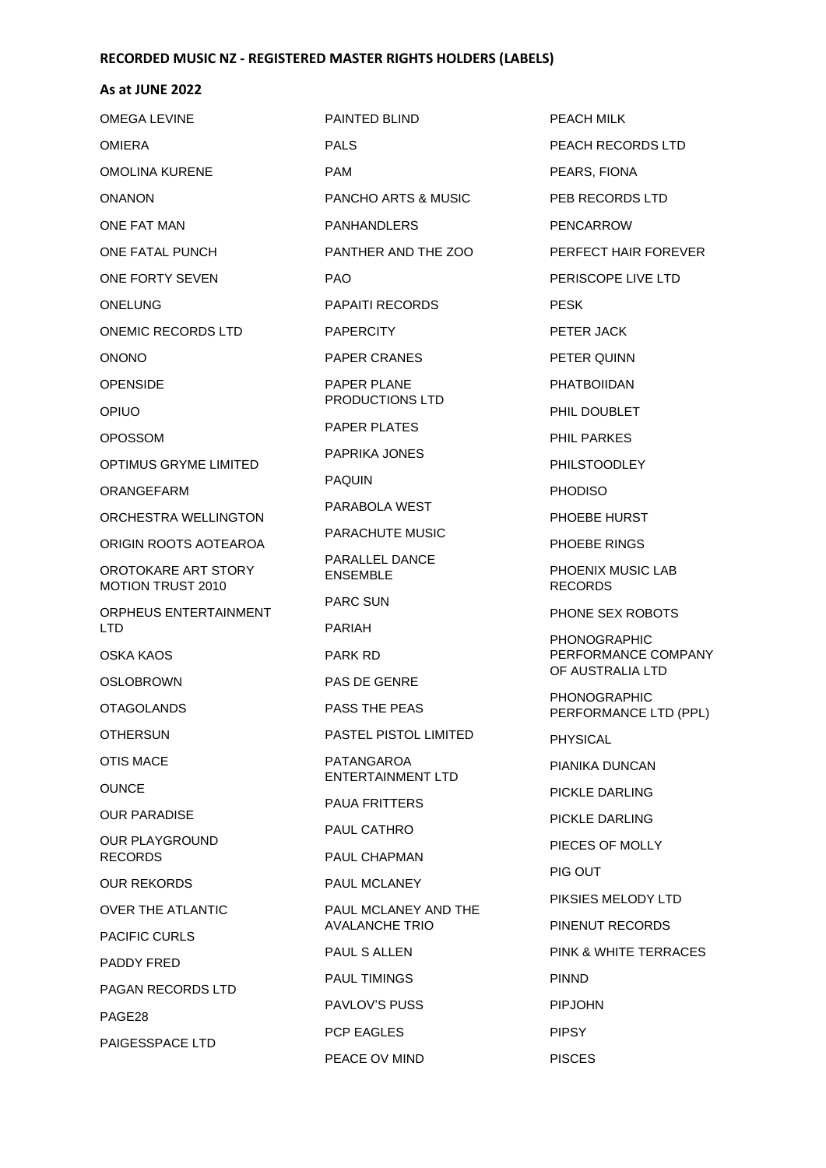| <b>OMEGA LEVINE</b>                             | PAINTED BLIND                     | PEACH MILK                              |
|-------------------------------------------------|-----------------------------------|-----------------------------------------|
| <b>OMIERA</b>                                   | <b>PALS</b>                       | PEACH RECORDS LTD                       |
| <b>OMOLINA KURENE</b>                           | <b>PAM</b>                        | PEARS, FIONA                            |
| <b>ONANON</b>                                   | <b>PANCHO ARTS &amp; MUSIC</b>    | PEB RECORDS LTD                         |
| ONE FAT MAN                                     | <b>PANHANDLERS</b>                | <b>PENCARROW</b>                        |
| ONE FATAL PUNCH                                 | PANTHER AND THE ZOO               | PERFECT HAIR FOREVER                    |
| ONE FORTY SEVEN                                 | PAO.                              | PERISCOPE LIVE LTD                      |
| <b>ONELUNG</b>                                  | <b>PAPAITI RECORDS</b>            | <b>PESK</b>                             |
| ONEMIC RECORDS LTD                              | <b>PAPERCITY</b>                  | PETER JACK                              |
| <b>ONONO</b>                                    | PAPER CRANES                      | PETER QUINN                             |
| <b>OPENSIDE</b>                                 | <b>PAPER PLANE</b>                | <b>PHATBOIIDAN</b>                      |
| <b>OPIUO</b>                                    | PRODUCTIONS LTD                   | PHIL DOUBLET                            |
| <b>OPOSSOM</b>                                  | <b>PAPER PLATES</b>               | <b>PHIL PARKES</b>                      |
| OPTIMUS GRYME LIMITED                           | PAPRIKA JONES                     | <b>PHILSTOODLEY</b>                     |
| ORANGEFARM                                      | <b>PAQUIN</b>                     | <b>PHODISO</b>                          |
| ORCHESTRA WELLINGTON                            | PARABOLA WEST                     | PHOEBE HURST                            |
| ORIGIN ROOTS AOTEAROA                           | PARACHUTE MUSIC                   | PHOEBE RINGS                            |
| OROTOKARE ART STORY<br><b>MOTION TRUST 2010</b> | PARALLEL DANCE<br><b>ENSEMBLE</b> | PHOENIX MUSIC LAB<br><b>RECORDS</b>     |
| ORPHEUS ENTERTAINMENT                           | PARC SUN                          | PHONE SEX ROBOTS                        |
| <b>LTD</b>                                      | PARIAH                            | <b>PHONOGRAPHIC</b>                     |
| OSKA KAOS                                       | PARK RD                           | PERFORMANCE COMPANY<br>OF AUSTRALIA LTD |
| <b>OSLOBROWN</b>                                | <b>PAS DE GENRE</b>               | <b>PHONOGRAPHIC</b>                     |
| <b>OTAGOLANDS</b>                               | PASS THE PEAS                     | PERFORMANCE LTD (PPL)                   |
| <b>OTHERSUN</b>                                 | PASTEL PISTOL LIMITED             | <b>PHYSICAL</b>                         |
| OTIS MACE                                       | PATANGAROA<br>ENTERTAINMENT LTD   | PIANIKA DUNCAN                          |
| <b>OUNCE</b>                                    | <b>PAUA FRITTERS</b>              | PICKLE DARLING                          |
| OUR PARADISE                                    | PAUL CATHRO                       | PICKLE DARLING                          |
| <b>OUR PLAYGROUND</b><br><b>RECORDS</b>         | PAUL CHAPMAN                      | PIECES OF MOLLY                         |
| <b>OUR REKORDS</b>                              | PAUL MCLANEY                      | PIG OUT                                 |
| <b>OVER THE ATLANTIC</b>                        | PAUL MCLANEY AND THE              | PIKSIES MELODY LTD                      |
| <b>PACIFIC CURLS</b>                            | <b>AVALANCHE TRIO</b>             | PINENUT RECORDS                         |
| PADDY FRED                                      | PAUL S ALLEN                      | PINK & WHITE TERRACES                   |
|                                                 | PAUL TIMINGS                      | <b>PINND</b>                            |
| PAGAN RECORDS LTD                               | <b>PAVLOV'S PUSS</b>              | <b>PIPJOHN</b>                          |
| PAGE28                                          | PCP EAGLES                        | <b>PIPSY</b>                            |
| PAIGESSPACE LTD                                 | PEACE OV MIND                     | <b>PISCES</b>                           |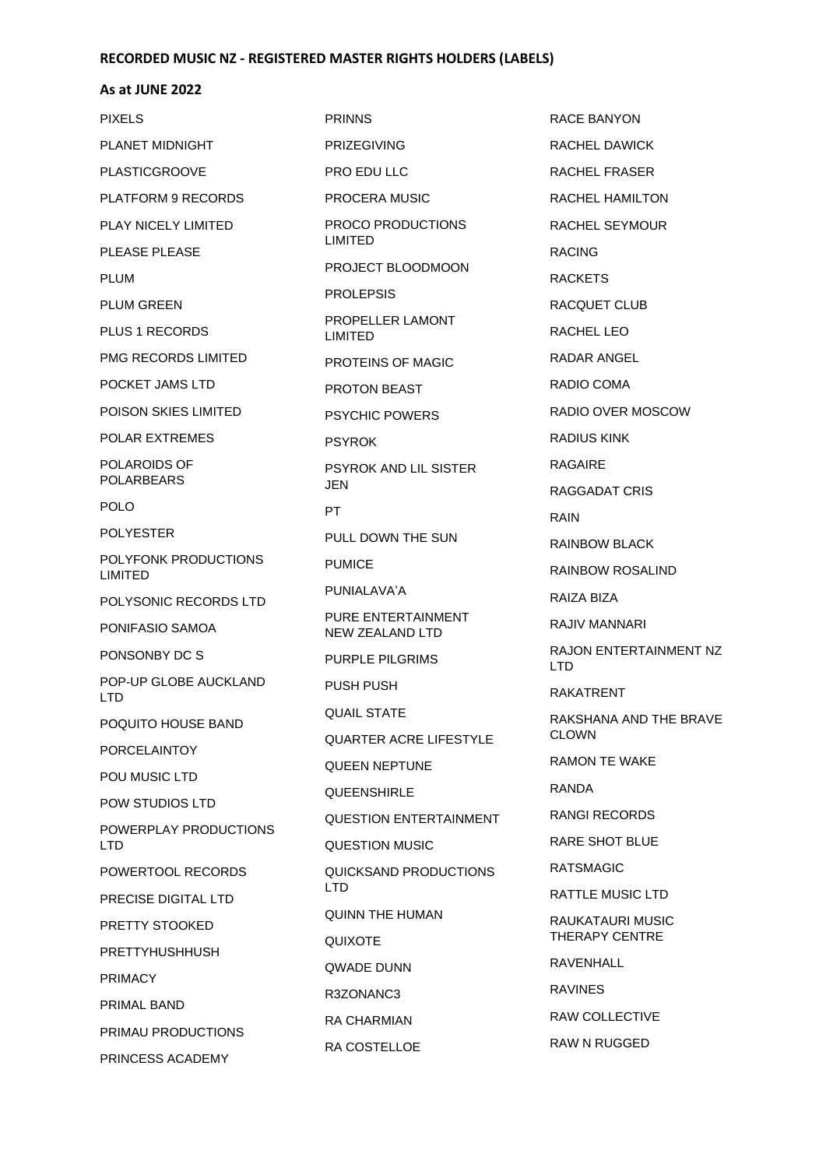### **As at JUNE 2022**

PIXELS PLANET MIDNIGHT PLASTICGROOVE PLATFORM 9 RECORDS PLAY NICELY LIMITED PLEASE PLEASE PLUM PLUM GREEN PLUS 1 RECORDS PMG RECORDS LIMITED POCKET JAMS LTD POISON SKIES LIMITED POLAR EXTREMES POLAROIDS OF POLARBEARS POLO POLYESTER POLYFONK PRODUCTIONS LIMITED POLYSONIC RECORDS LTD PONIFASIO SAMOA PONSONBY DC S POP-UP GLOBE AUCKLAND LTD POQUITO HOUSE BAND PORCELAINTOY POU MUSIC LTD POW STUDIOS LTD POWERPLAY PRODUCTIONS LTD POWERTOOL RECORDS PRECISE DIGITAL LTD PRETTY STOOKED PRETTYHUSHHUSH PRIMACY PRIMAL BAND PRIMAU PRODUCTIONS PRINCESS ACADEMY PRINNS JEN PT **LTD** 

PRIZEGIVING PRO EDU LLC PROCERA MUSIC PROCO PRODUCTIONS LIMITED PROJECT BLOODMOON PROLEPSIS PROPELLER LAMONT LIMITED PROTEINS OF MAGIC PROTON BEAST PSYCHIC POWERS PSYROK PSYROK AND LIL SISTER PULL DOWN THE SUN PUMICE PUNIALAVA'A PURE ENTERTAINMENT NEW ZEALAND LTD PURPLE PILGRIMS PUSH PUSH QUAIL STATE QUARTER ACRE LIFESTYLE QUEEN NEPTUNE **QUEENSHIRLE** QUESTION ENTERTAINMENT QUESTION MUSIC QUICKSAND PRODUCTIONS QUINN THE HUMAN QUIXOTE QWADE DUNN R3ZONANC3 RA CHARMIAN RA COSTELLOE

RACE BANYON RACHEL DAWICK RACHEL FRASER RACHEL HAMILTON RACHEL SEYMOUR RACING **RACKETS** RACQUET CLUB RACHEL LEO RADAR ANGEL RADIO COMA RADIO OVER MOSCOW RADIUS KINK RAGAIRE RAGGADAT CRIS RAIN RAINBOW BLACK RAINBOW ROSALIND RAIZA BIZA RAJIV MANNARI RAJON ENTERTAINMENT NZ LTD RAKATRENT RAKSHANA AND THE BRAVE CLOWN RAMON TE WAKE RANDA RANGI RECORDS RARE SHOT BLUE RATSMAGIC RATTLE MUSIC LTD RAUKATAURI MUSIC THERAPY CENTRE RAVENHALL RAVINES RAW COLLECTIVE RAW N RUGGED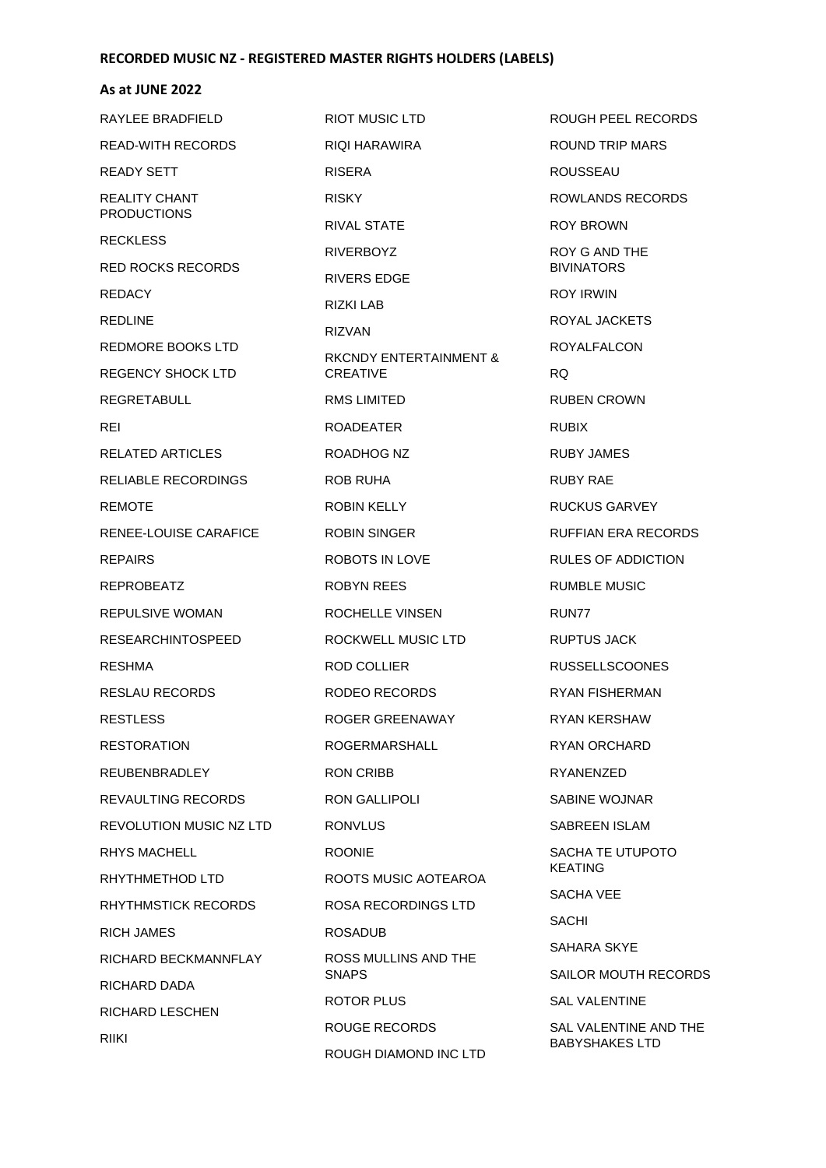#### **As at JUNE 2022**

RAYLEE BRADFIELD READ-WITH RECORDS READY SETT REALITY CHANT PRODUCTIONS **RECKLESS** RED ROCKS RECORDS **REDACY** REDLINE REDMORE BOOKS LTD REGENCY SHOCK LTD REGRETABULL REI RELATED ARTICLES RELIABLE RECORDINGS REMOTE RENEE-LOUISE CARAFICE REPAIRS REPROBEATZ REPULSIVE WOMAN RESEARCHINTOSPEED RESHMA RESLAU RECORDS RESTLESS **RESTORATION** REUBENBRADLEY REVAULTING RECORDS REVOLUTION MUSIC NZ LTD RHYS MACHELL RHYTHMETHOD LTD RHYTHMSTICK RECORDS RICH JAMES RICHARD BECKMANNFLAY RICHARD DADA RICHARD LESCHEN RIIKI

RIOT MUSIC LTD RIQI HARAWIRA RISERA RISKY RIVAL STATE RIVERBOYZ RIVERS EDGE RIZKI LAB RIZVAN RKCNDY ENTERTAINMENT & CREATIVE RMS LIMITED ROADEATER ROADHOG NZ ROB RUHA ROBIN KELLY ROBIN SINGER ROBOTS IN LOVE ROBYN REES ROCHELLE VINSEN ROCKWELL MUSIC LTD ROD COLLIER RODEO RECORDS ROGER GREENAWAY ROGERMARSHALL RON CRIBB RON GALLIPOLI RONVLUS ROONIE ROOTS MUSIC AOTEAROA ROSA RECORDINGS LTD ROSADUB ROSS MULLINS AND THE **SNAPS** ROTOR PLUS ROUGE RECORDS ROUGH DIAMOND INC LTD

ROUGH PEEL RECORDS ROUND TRIP MARS ROUSSEAU ROWLANDS RECORDS ROY BROWN ROY G AND THE BIVINATORS ROY IRWIN ROYAL JACKETS ROYALFALCON RQ RUBEN CROWN RUBIX RUBY JAMES RUBY RAE RUCKUS GARVEY RUFFIAN ERA RECORDS RULES OF ADDICTION RUMBLE MUSIC RUN77 RUPTUS JACK RUSSELLSCOONES RYAN FISHERMAN RYAN KERSHAW RYAN ORCHARD RYANENZED SABINE WOJNAR SABREEN ISLAM SACHA TE UTUPOTO KEATING SACHA VEE SACHI SAHARA SKYE SAILOR MOUTH RECORDS SAL VALENTINE SAL VALENTINE AND THE BABYSHAKES LTD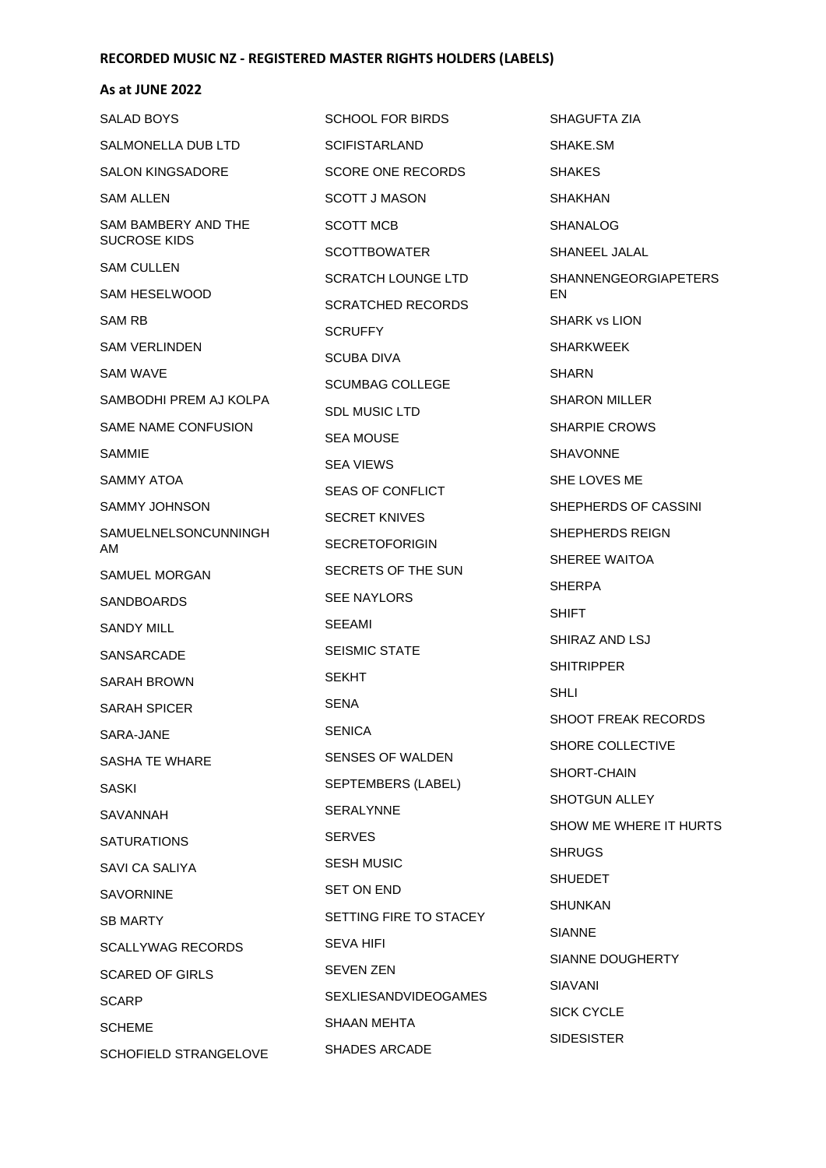| SALAD BOYS                  | SCHOOL FOR BIRDS            | SHAGUFTA ZIA                |
|-----------------------------|-----------------------------|-----------------------------|
| SALMONELLA DUB LTD          | <b>SCIFISTARLAND</b>        | SHAKE.SM                    |
| <b>SALON KINGSADORE</b>     | <b>SCORE ONE RECORDS</b>    | <b>SHAKES</b>               |
| SAM ALLEN                   | <b>SCOTT J MASON</b>        | SHAKHAN                     |
| SAM BAMBERY AND THE         | <b>SCOTT MCB</b>            | <b>SHANALOG</b>             |
| <b>SUCROSE KIDS</b>         | <b>SCOTTBOWATER</b>         | SHANEEL JALAL               |
| <b>SAM CULLEN</b>           | SCRATCH LOUNGE LTD          | <b>SHANNENGEORGIAPETERS</b> |
| <b>SAM HESELWOOD</b>        | <b>SCRATCHED RECORDS</b>    | EN                          |
| SAM RB                      | <b>SCRUFFY</b>              | <b>SHARK vs LION</b>        |
| SAM VERLINDEN               | SCUBA DIVA                  | SHARKWEEK                   |
| SAM WAVE                    | <b>SCUMBAG COLLEGE</b>      | <b>SHARN</b>                |
| SAMBODHI PREM AJ KOLPA      | SDL MUSIC LTD               | <b>SHARON MILLER</b>        |
| SAME NAME CONFUSION         | <b>SEA MOUSE</b>            | <b>SHARPIE CROWS</b>        |
| SAMMIE                      | <b>SEA VIEWS</b>            | <b>SHAVONNE</b>             |
| SAMMY ATOA                  | <b>SEAS OF CONFLICT</b>     | SHE LOVES ME                |
| SAMMY JOHNSON               | <b>SECRET KNIVES</b>        | SHEPHERDS OF CASSINI        |
| SAMUELNELSONCUNNINGH<br>AM. | <b>SECRETOFORIGIN</b>       | SHEPHERDS REIGN             |
| SAMUEL MORGAN               | SECRETS OF THE SUN          | SHEREE WAITOA               |
| <b>SANDBOARDS</b>           | <b>SEE NAYLORS</b>          | <b>SHERPA</b>               |
| SANDY MILL                  | SEEAMI                      | SHIFT                       |
| SANSARCADE                  | <b>SEISMIC STATE</b>        | SHIRAZ AND LSJ              |
| SARAH BROWN                 | <b>SEKHT</b>                | <b>SHITRIPPER</b>           |
| <b>SARAH SPICER</b>         | SENA                        | SHLI                        |
| SARA-JANE                   | <b>SENICA</b>               | SHOOT FREAK RECORDS         |
| SASHA TE WHARE              | SENSES OF WALDEN            | SHORE COLLECTIVE            |
| <b>SASKI</b>                | SEPTEMBERS (LABEL)          | SHORT-CHAIN                 |
| SAVANNAH                    | <b>SERALYNNE</b>            | <b>SHOTGUN ALLEY</b>        |
| <b>SATURATIONS</b>          | <b>SERVES</b>               | SHOW ME WHERE IT HURTS      |
| SAVI CA SALIYA              | <b>SESH MUSIC</b>           | <b>SHRUGS</b>               |
| <b>SAVORNINE</b>            | <b>SET ON END</b>           | <b>SHUEDET</b>              |
| <b>SB MARTY</b>             | SETTING FIRE TO STACEY      | <b>SHUNKAN</b>              |
| <b>SCALLYWAG RECORDS</b>    | <b>SEVA HIFI</b>            | <b>SIANNE</b>               |
| <b>SCARED OF GIRLS</b>      | <b>SEVEN ZEN</b>            | SIANNE DOUGHERTY            |
| <b>SCARP</b>                | <b>SEXLIESANDVIDEOGAMES</b> | SIAVANI                     |
| <b>SCHEME</b>               | <b>SHAAN MEHTA</b>          | <b>SICK CYCLE</b>           |
| SCHOFIELD STRANGELOVE       | <b>SHADES ARCADE</b>        | <b>SIDESISTER</b>           |
|                             |                             |                             |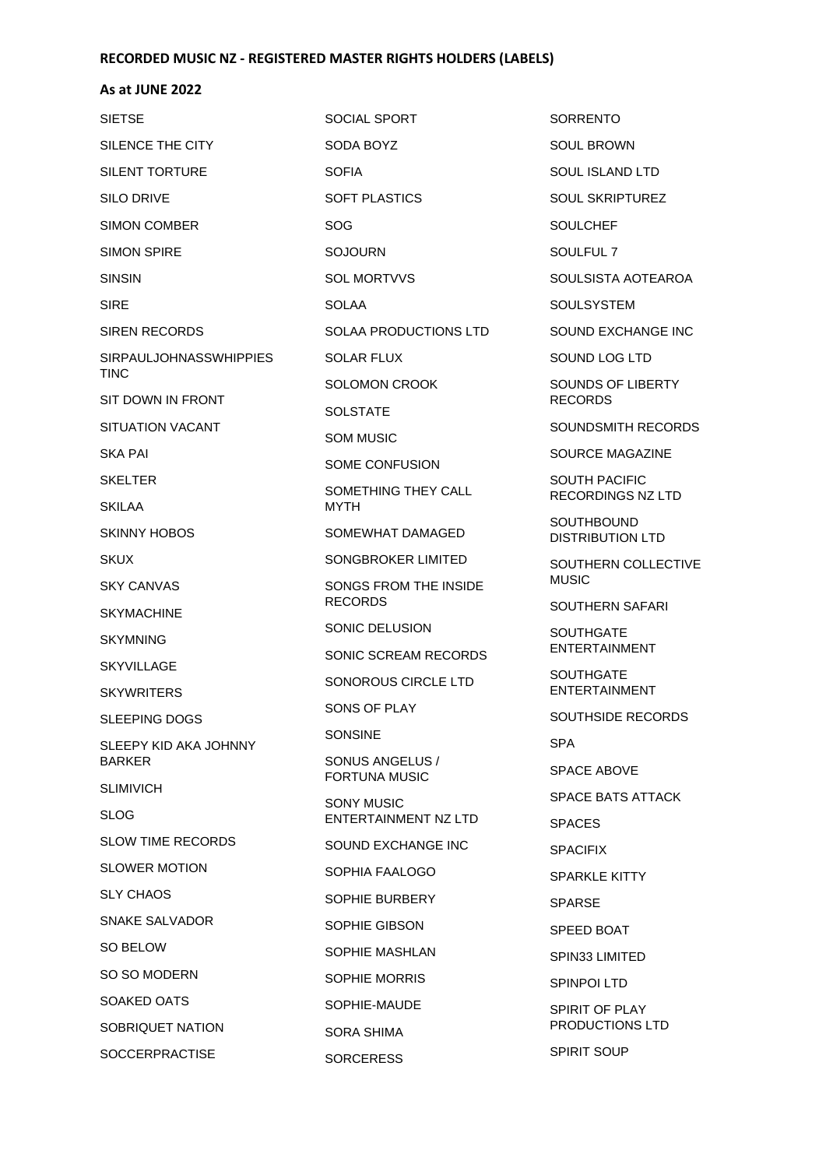### **As at JUNE 2022**

| <b>SIETSE</b>                          | <b>SOCIAL SPORT</b>                     |  |
|----------------------------------------|-----------------------------------------|--|
| SILENCE THE CITY                       | SODA BOYZ                               |  |
| SILENT TORTURE                         | <b>SOFIA</b>                            |  |
| SILO DRIVE                             | SOFT PLASTICS                           |  |
| SIMON COMBER                           | SOG                                     |  |
| <b>SIMON SPIRE</b>                     | SOJOURN                                 |  |
| <b>SINSIN</b>                          | <b>SOL MORTVVS</b>                      |  |
| SIRF                                   | <b>SOLAA</b>                            |  |
| <b>SIREN RECORDS</b>                   | SOLAA PRODUCTIONS LTD                   |  |
| <b>SIRPAULJOHNASSWHIPPIES</b><br>TINC  | SOLAR FLUX                              |  |
| SIT DOWN IN FRONT                      | SOLOMON CROOK                           |  |
|                                        | <b>SOLSTATE</b>                         |  |
| SITUATION VACANT                       | SOM MUSIC                               |  |
| SKA PAI                                | SOME CONFUSION                          |  |
| <b>SKELTER</b><br><b>SKILAA</b>        | SOMETHING THEY CALL<br>MYTH             |  |
| <b>SKINNY HOBOS</b>                    | SOMEWHAT DAMAGED                        |  |
| <b>SKUX</b>                            | SONGBROKER LIMITED                      |  |
| <b>SKY CANVAS</b>                      | SONGS FROM THE INSIDE<br><b>RECORDS</b> |  |
| <b>SKYMACHINE</b>                      | SONIC DELUSION                          |  |
| <b>SKYMNING</b>                        | SONIC SCREAM RECORDS                    |  |
| <b>SKYVILLAGE</b>                      | SONOROUS CIRCLE LTD                     |  |
| <b>SKYWRITERS</b>                      | SONS OF PLAY                            |  |
| SLEEPING DOGS                          | SONSINE                                 |  |
| SLEEPY KID AKA JOHNNY<br><b>BARKER</b> | SONUS ANGELUS /<br><b>FORTUNA MUSIC</b> |  |
| <b>SLIMIVICH</b>                       | <b>SONY MUSIC</b>                       |  |
| SLOG                                   | <b>ENTERTAINMENT NZ LTD</b>             |  |
| <b>SLOW TIME RECORDS</b>               | SOUND EXCHANGE INC                      |  |
| <b>SLOWER MOTION</b>                   | SOPHIA FAALOGO                          |  |
| <b>SLY CHAOS</b>                       | SOPHIE BURBERY                          |  |
| SNAKE SALVADOR                         | SOPHIE GIBSON                           |  |
| SO BELOW                               | SOPHIE MASHLAN                          |  |
| SO SO MODERN                           | SOPHIE MORRIS                           |  |
| SOAKED OATS                            | SOPHIE-MAUDE                            |  |
| SOBRIQUET NATION                       | SORA SHIMA                              |  |
| <b>SOCCERPRACTISE</b>                  | <b>SORCERESS</b>                        |  |

**SORRENTO** SOUL BROWN SOUL ISLAND LTD SOUL SKRIPTUREZ SOULCHEF SOULFUL 7 SOULSISTA AOTEAROA **SOULSYSTEM** SOUND EXCHANGE INC SOUND LOG LTD SOUNDS OF LIBERTY RECORDS SOUNDSMITH RECORDS SOURCE MAGAZINE SOUTH PACIFIC RECORDINGS NZ LTD **SOUTHBOUND** DISTRIBUTION LTD SOUTHERN COLLECTIVE MUSIC SOUTHERN SAFARI SOUTHGATE ENTERTAINMENT **SOUTHGATE** ENTERTAINMENT SOUTHSIDE RECORDS SPA SPACE ABOVE SPACE BATS ATTACK SPACES SPACIFIX SPARKLE KITTY SPARSE SPEED BOAT SPIN33 LIMITED SPINPOI LTD SPIRIT OF PLAY PRODUCTIONS LTD

SPIRIT SOUP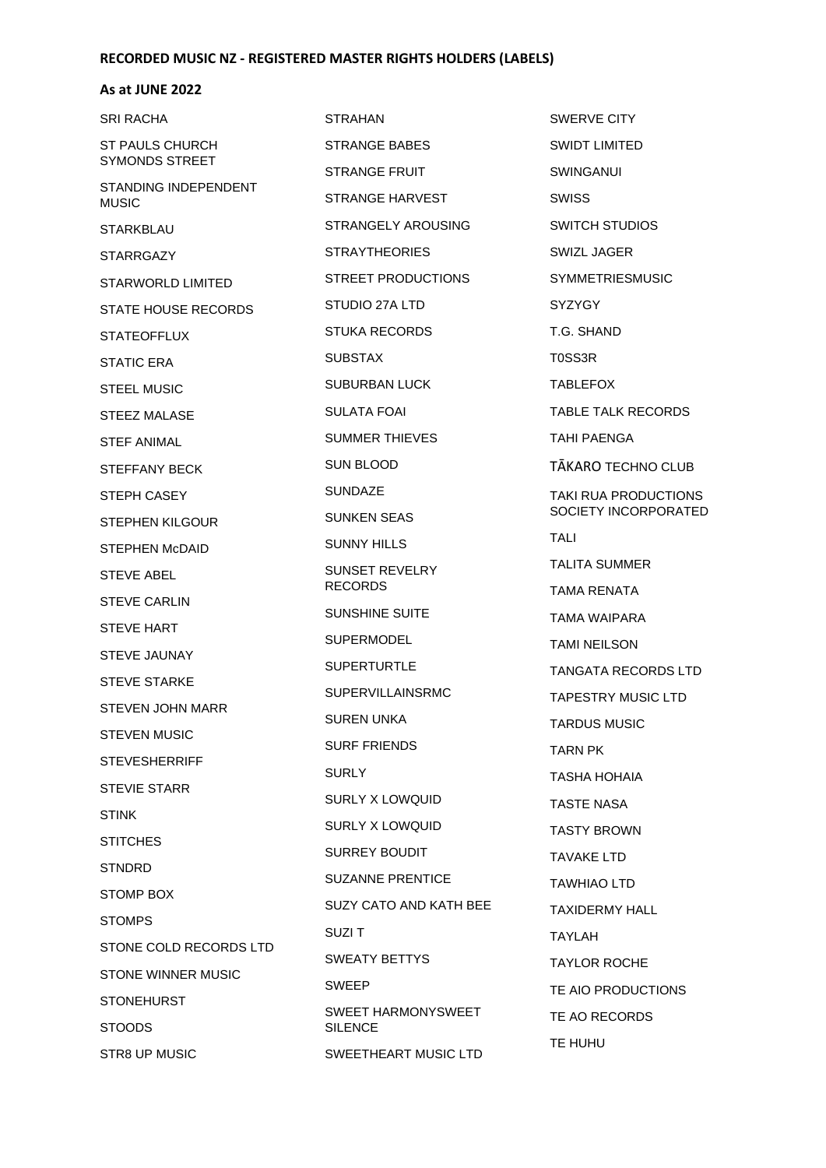| SRI RACHA                                   | <b>STRAHAN</b>                              | <b>SWERVE CITY</b>     |
|---------------------------------------------|---------------------------------------------|------------------------|
| <b>ST PAULS CHURCH</b>                      | STRANGE BABES                               | <b>SWIDT LIMITED</b>   |
| SYMONDS STREET                              | STRANGE FRUIT                               | <b>SWINGANUI</b>       |
| <b>STANDING INDEPENDENT</b><br><b>MUSIC</b> | STRANGE HARVEST                             | <b>SWISS</b>           |
| <b>STARKBLAU</b>                            | STRANGELY AROUSING                          | <b>SWITCH STUDIOS</b>  |
| <b>STARRGAZY</b>                            | <b>STRAYTHEORIES</b>                        | SWIZL JAGER            |
| STARWORLD LIMITED                           | STREET PRODUCTIONS                          | <b>SYMMETRIESMUSIC</b> |
| <b>STATE HOUSE RECORDS</b>                  | STUDIO 27A LTD                              | <b>SYZYGY</b>          |
| <b>STATEOFFLUX</b>                          | STUKA RECORDS                               | T.G. SHAND             |
| <b>STATIC ERA</b>                           | <b>SUBSTAX</b>                              | T0SS3R                 |
| <b>STEEL MUSIC</b>                          | <b>SUBURBAN LUCK</b>                        | <b>TABLEFOX</b>        |
| STEEZ MALASE                                | SULATA FOAI                                 | TABLE TALK RECORDS     |
| <b>STEF ANIMAL</b>                          | SUMMER THIEVES                              | TAHI PAENGA            |
| STEFFANY BECK                               | <b>SUN BLOOD</b>                            | TĀKARO TECHNO CLUB     |
| STEPH CASEY                                 | <b>SUNDAZE</b>                              | TAKI RUA PRODUCTIONS   |
| STEPHEN KILGOUR                             | <b>SUNKEN SEAS</b>                          | SOCIETY INCORPORATED   |
| STEPHEN McDAID                              | <b>SUNNY HILLS</b>                          | <b>TALI</b>            |
| STEVE ABEL                                  | <b>SUNSET REVELRY</b><br><b>RECORDS</b>     | TALITA SUMMER          |
| <b>STEVE CARLIN</b>                         |                                             | TAMA RENATA            |
| <b>STEVE HART</b>                           | SUNSHINE SUITE                              | TAMA WAIPARA           |
| STEVE JAUNAY                                | <b>SUPERMODEL</b>                           | TAMI NEILSON           |
| <b>STEVE STARKE</b>                         | <b>SUPERTURTLE</b>                          | TANGATA RECORDS LTD    |
| STEVEN JOHN MARR                            | <b>SUPERVILLAINSRMC</b>                     | TAPESTRY MUSIC LTD     |
| <b>STEVEN MUSIC</b>                         | SUREN UNKA                                  | <b>TARDUS MUSIC</b>    |
| <b>STEVESHERRIFF</b>                        | <b>SURF FRIENDS</b>                         | TARN PK                |
| <b>STEVIE STARR</b>                         | <b>SURLY</b>                                | TASHA HOHAIA           |
| <b>STINK</b>                                | SURLY X LOWQUID                             | TASTE NASA             |
| <b>STITCHES</b>                             | SURLY X LOWQUID                             | <b>TASTY BROWN</b>     |
| <b>STNDRD</b>                               | <b>SURREY BOUDIT</b>                        | TAVAKE LTD             |
| STOMP BOX                                   | <b>SUZANNE PRENTICE</b>                     | TAWHIAO LTD            |
| <b>STOMPS</b>                               | SUZY CATO AND KATH BEE                      | TAXIDERMY HALL         |
| STONE COLD RECORDS LTD                      | SUZI T                                      | TAYLAH                 |
| <b>STONE WINNER MUSIC</b>                   | SWEATY BETTYS                               | <b>TAYLOR ROCHE</b>    |
| <b>STONEHURST</b>                           | <b>SWEEP</b>                                | TE AIO PRODUCTIONS     |
| <b>STOODS</b>                               | <b>SWEET HARMONYSWEET</b><br><b>SILENCE</b> | TE AO RECORDS          |
| STR8 UP MUSIC                               | SWEETHEART MUSIC LTD                        | TE HUHU                |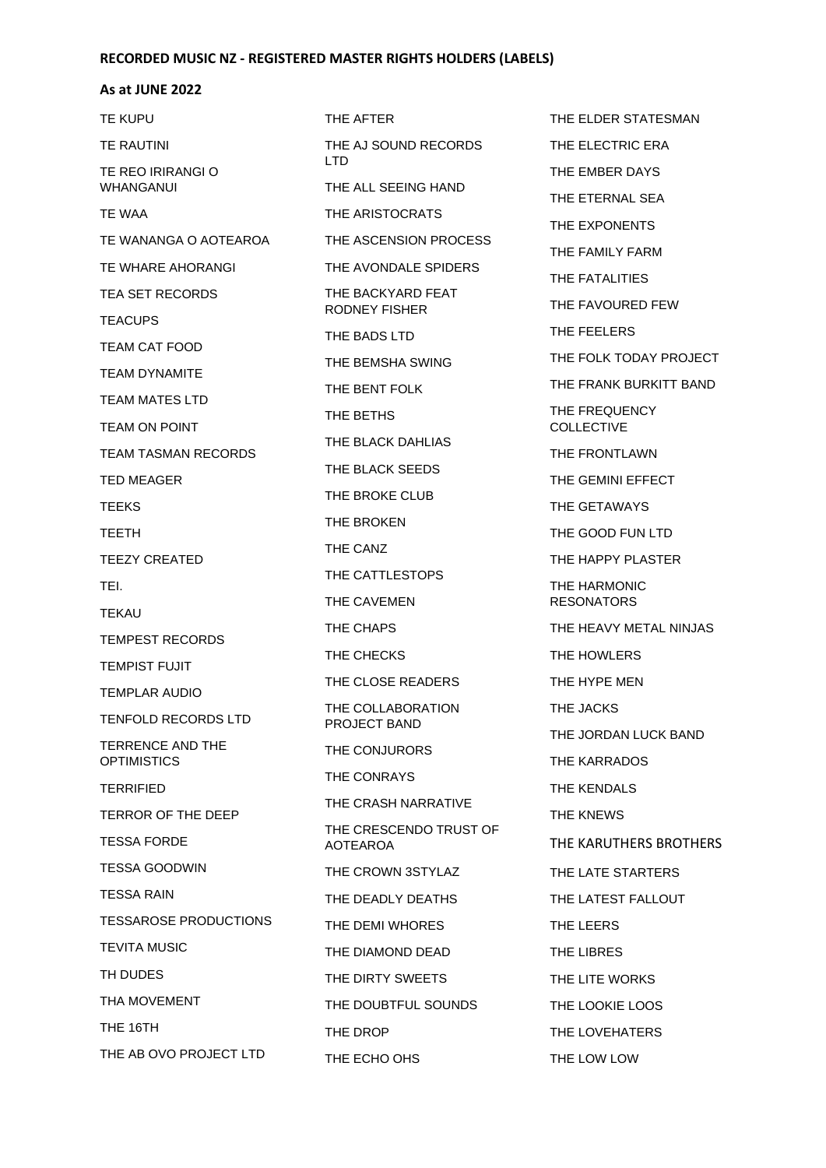### **As at JUNE 2022**

| TE KUPU                                | THE AFT                  |
|----------------------------------------|--------------------------|
| TE RAUTINI                             | THE AJ                   |
| TE REO IRIRANGI O<br>WHANGANUI         | LTD<br><b>THE ALL</b>    |
| TE WAA                                 | <b>THE ARI</b>           |
| TE WANANGA O AOTEAROA                  | THE AS                   |
| TE WHARE AHORANGI                      | THE AV                   |
| TEA SET RECORDS                        | THE BA                   |
| <b>TEACUPS</b>                         | RODNE <sup>Y</sup>       |
| TEAM CAT FOOD                          | <b>THE BAI</b>           |
| TEAM DYNAMITE                          | THE BEI                  |
| TEAM MATES LTD                         | THE BEI                  |
| <b>TEAM ON POINT</b>                   | THE BET                  |
| <b>TEAM TASMAN RECORDS</b>             | THE BL/                  |
| <b>TED MEAGER</b>                      | THE BL/                  |
| TEEKS                                  | THE BR                   |
| TEETH                                  | THE BR                   |
| <b>TEEZY CREATED</b>                   | <b>THE CAI</b>           |
| TEI.                                   | THE CAT                  |
| TEKAU                                  | THE CAY                  |
| TEMPEST RECORDS                        | THE CH                   |
| TEMPIST FUJIT                          | THE CHI                  |
| TEMPLAR AUDIO                          | THE CLO                  |
| TENFOLD RECORDS LTD                    | THE CO<br><b>PROJEC</b>  |
| TERRENCE AND THE<br><b>OPTIMISTICS</b> | THE CO                   |
| <b>TERRIFIED</b>                       | THE CO                   |
| TERROR OF THE DEEP                     | THE CR.                  |
| <b>TESSA FORDE</b>                     | THE CRI<br><b>AOTEAR</b> |
| TESSA GOODWIN                          | THE CR                   |
| TESSA RAIN                             | THE DE                   |
| <b>TESSAROSE PRODUCTIONS</b>           | THE DEI                  |
| TEVITA MUSIC                           | THE DIA                  |
| TH DUDES                               | THE DIR                  |
| THA MOVEMENT                           | THE DO                   |
| THE 16TH                               | THE DR                   |
| THE AB OVO PROJECT LTD                 | THE ECI                  |

**TER** SOUND RECORDS SEEING HAND **ISTOCRATS** CENSION PROCESS ONDALE SPIDERS CKYARD FEAT Y FISHER DS LTD MSHA SWING NT FOLK THS **ACK DAHLIAS** ACK SEEDS OKE CLUB OKEN NZ **TTLESTOPS** VEMEN APS **FCKS** OSE READERS LLABORATION **T BAND NJURORS NRAYS** ASH NARRATIVE **ESCENDO TRUST OF** AOTEAROA OWN 3STYLAZ ADLY DEATHS MI WHORES **MOND DEAD TY SWEETS** UBTFUL SOUNDS OP HO OHS

THE ELDER STATESMAN THE ELECTRIC ERA THE EMBER DAYS THE ETERNAL SEA THE EXPONENTS THE FAMILY FARM THE FATALITIES THE FAVOURED FEW THE FEELERS THE FOLK TODAY PROJECT THE FRANK BURKITT BAND THE FREQUENCY **COLLECTIVE** THE FRONTLAWN THE GEMINI EFFECT THE GETAWAYS THE GOOD FUN LTD THE HAPPY PLASTER THE HARMONIC RESONATORS THE HEAVY METAL NINJAS THE HOWLERS THE HYPE MEN THE JACKS THE JORDAN LUCK BAND THE KARRADOS THE KENDALS THE KNEWS THE KARUTHERS BROTHERS THE LATE STARTERS THE LATEST FALLOUT THE LEERS THE LIBRES THE LITE WORKS THE LOOKIE LOOS THE LOVEHATERS THE LOW LOW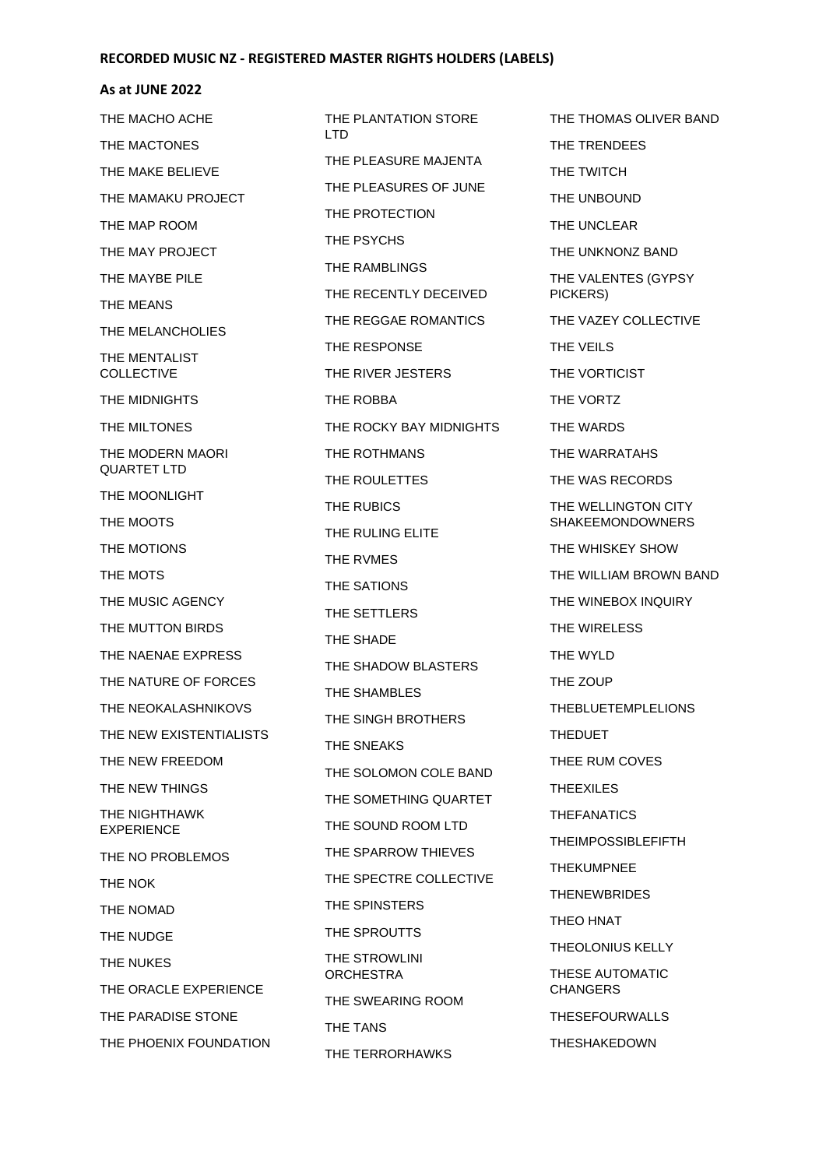#### **As at JUNE 2022**

THE MACHO ACHE THE MACTONES THE MAKE BELIEVE THE MAMAKU PROJECT THE MAP ROOM THE MAY PROJECT THE MAYBE PILE THE MEANS THE MELANCHOLIES THE MENTALIST COLLECTIVE THE MIDNIGHTS THE MILTONES THE MODERN MAORI QUARTET LTD THE MOONLIGHT THE MOOTS THE MOTIONS THE MOTS THE MUSIC AGENCY THE MUTTON BIRDS THE NAENAE EXPRESS THE NATURE OF FORCES THE NEOKALASHNIKOVS THE NEW EXISTENTIALISTS THE NEW FREEDOM THE NEW THINGS THE NIGHTHAWK EXPERIENCE THE NO PROBLEMOS THE NOK THE NOMAD THE NUDGE THE NUKES THE ORACLE EXPERIENCE THE PARADISE STONE THE PHOENIX FOUNDATION

THE PLANTATION STORE **LTD** THE PLEASURE MAJENTA THE PLEASURES OF JUNE THE PROTECTION THE PSYCHS THE RAMBLINGS THE RECENTLY DECEIVED THE REGGAE ROMANTICS THE RESPONSE THE RIVER JESTERS THE ROBBA THE ROCKY BAY MIDNIGHTS THE ROTHMANS THE ROULETTES THE RUBICS THE RULING ELITE THE RVMES THE SATIONS THE SETTLERS THE SHADE THE SHADOW BLASTERS THE SHAMBLES THE SINGH BROTHERS THE SNEAKS THE SOLOMON COLE BAND THE SOMETHING QUARTET THE SOUND ROOM LTD THE SPARROW THIEVES THE SPECTRE COLLECTIVE THE SPINSTERS THE SPROUTTS THE STROWLINI **ORCHESTRA** THE SWEARING ROOM THE TANS THE TERRORHAWKS

THE THOMAS OLIVER BAND THE TRENDEES THE TWITCH THE UNBOUND THE UNCLEAR THE UNKNONZ BAND THE VALENTES (GYPSY PICKERS) THE VAZEY COLLECTIVE THE VEILS THE VORTICIST THE VORTZ THE WARDS THE WARRATAHS THE WAS RECORDS THE WELLINGTON CITY SHAKEEMONDOWNERS THE WHISKEY SHOW THE WILLIAM BROWN BAND THE WINEBOX INQUIRY THE WIRELESS THE WYLD THE ZOUP THEBLUETEMPLELIONS THEDUET THEE RUM COVES THEEXILES THEFANATICS THEIMPOSSIBLEFIFTH THEKUMPNEE **THENEWBRIDES** THEO HNAT THEOLONIUS KELLY THESE AUTOMATIC **CHANGERS** THESEFOURWALLS THESHAKEDOWN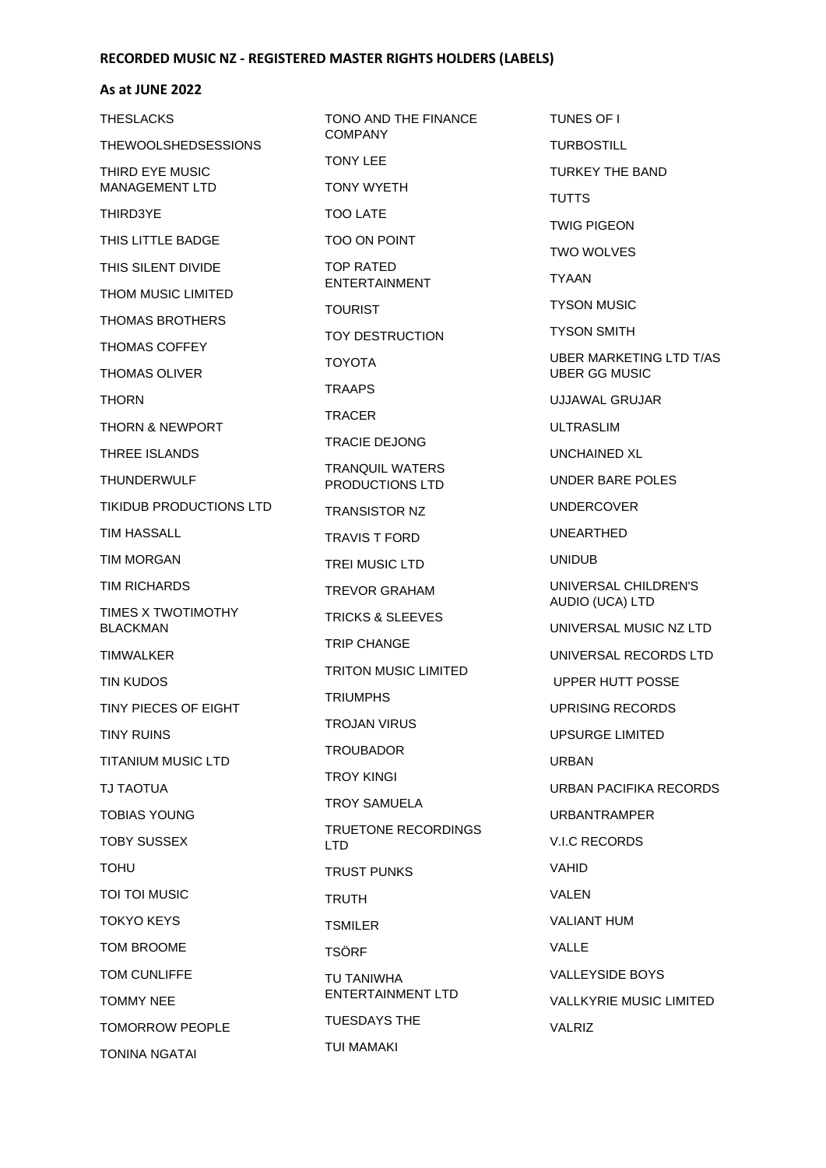### **As at JUNE 2022**

| THESLACKS                                | TONO AND THE FINANCE<br><b>COMPANY</b>    |  |
|------------------------------------------|-------------------------------------------|--|
| THEWOOLSHEDSESSIONS                      |                                           |  |
| THIRD EYE MUSIC<br><b>MANAGEMENT LTD</b> | <b>TONY LEE</b><br><b>TONY WYETH</b>      |  |
| THIRD3YE                                 | <b>TOO LATE</b>                           |  |
| THIS LITTLE BADGE                        | <b>TOO ON POINT</b>                       |  |
| THIS SILENT DIVIDE                       | <b>TOP RATED</b>                          |  |
| THOM MUSIC LIMITED                       | <b>ENTERTAINMENT</b>                      |  |
| THOMAS BROTHERS                          | <b>TOURIST</b>                            |  |
| THOMAS COFFEY                            | <b>TOY DESTRUCTION</b>                    |  |
| THOMAS OLIVER                            | <b>TOYOTA</b>                             |  |
| <b>THORN</b>                             | <b>TRAAPS</b>                             |  |
| <b>THORN &amp; NEWPORT</b>               | <b>TRACER</b>                             |  |
| THREE ISLANDS                            | <b>TRACIE DEJONG</b>                      |  |
| THUNDERWULF                              | <b>TRANQUIL WATERS</b><br>PRODUCTIONS LTD |  |
| TIKIDUB PRODUCTIONS LTD                  | <b>TRANSISTOR NZ</b>                      |  |
| TIM HASSALL                              | <b>TRAVIS T FORD</b>                      |  |
| <b>TIM MORGAN</b>                        | <b>TREI MUSIC LTD</b>                     |  |
| TIM RICHARDS                             | <b>TREVOR GRAHAM</b>                      |  |
| TIMES X TWOTIMOTHY<br><b>BLACKMAN</b>    | <b>TRICKS &amp; SLEEVES</b>               |  |
| <b>TIMWALKER</b>                         | <b>TRIP CHANGE</b>                        |  |
| TIN KUDOS                                | <b>TRITON MUSIC LIMITED</b>               |  |
| TINY PIECES OF EIGHT                     | <b>TRIUMPHS</b>                           |  |
| <b>TINY RUINS</b>                        | <b>TROJAN VIRUS</b>                       |  |
| TITANIUM MUSIC LTD                       | <b>TROUBADOR</b>                          |  |
| <b>TJ TAOTUA</b>                         | <b>TROY KINGI</b>                         |  |
| <b>TOBIAS YOUNG</b>                      | <b>TROY SAMUELA</b>                       |  |
| <b>TOBY SUSSEX</b>                       | TRUETONE RECORDINGS<br><b>LTD</b>         |  |
| TOHU                                     | <b>TRUST PUNKS</b>                        |  |
| TOI TOI MUSIC                            | <b>TRUTH</b>                              |  |
| TOKYO KEYS                               | <b>TSMILER</b>                            |  |
| TOM BROOME                               | <b>TSÖRF</b>                              |  |
| TOM CUNLIFFE                             | TU TANIWHA<br><b>ENTERTAINMENT LTD</b>    |  |
| <b>TOMMY NEE</b>                         |                                           |  |
| TOMORROW PEOPLE                          | <b>TUESDAYS THE</b>                       |  |
| TONINA NGATAI                            | TUI MAMAKI                                |  |

TUNES OF I TURBOSTILL TURKEY THE BAND **TUTTS** TWIG PIGEON TWO WOLVES TYAAN TYSON MUSIC TYSON SMITH UBER MARKETING LTD T/AS UBER GG MUSIC UJJAWAL GRUJAR ULTRASLIM UNCHAINED XL UNDER BARE POLES UNDERCOVER UNEARTHED UNIDUB UNIVERSAL CHILDREN'S AUDIO (UCA) LTD UNIVERSAL MUSIC NZ LTD UNIVERSAL RECORDS LTD UPPER HUTT POSSE UPRISING RECORDS UPSURGE LIMITED URBAN URBAN PACIFIKA RECORDS URBANTRAMPER V.I.C RECORDS VAHID VALEN VALIANT HUM VALLE VALLEYSIDE BOYS VALLKYRIE MUSIC LIMITED VALRIZ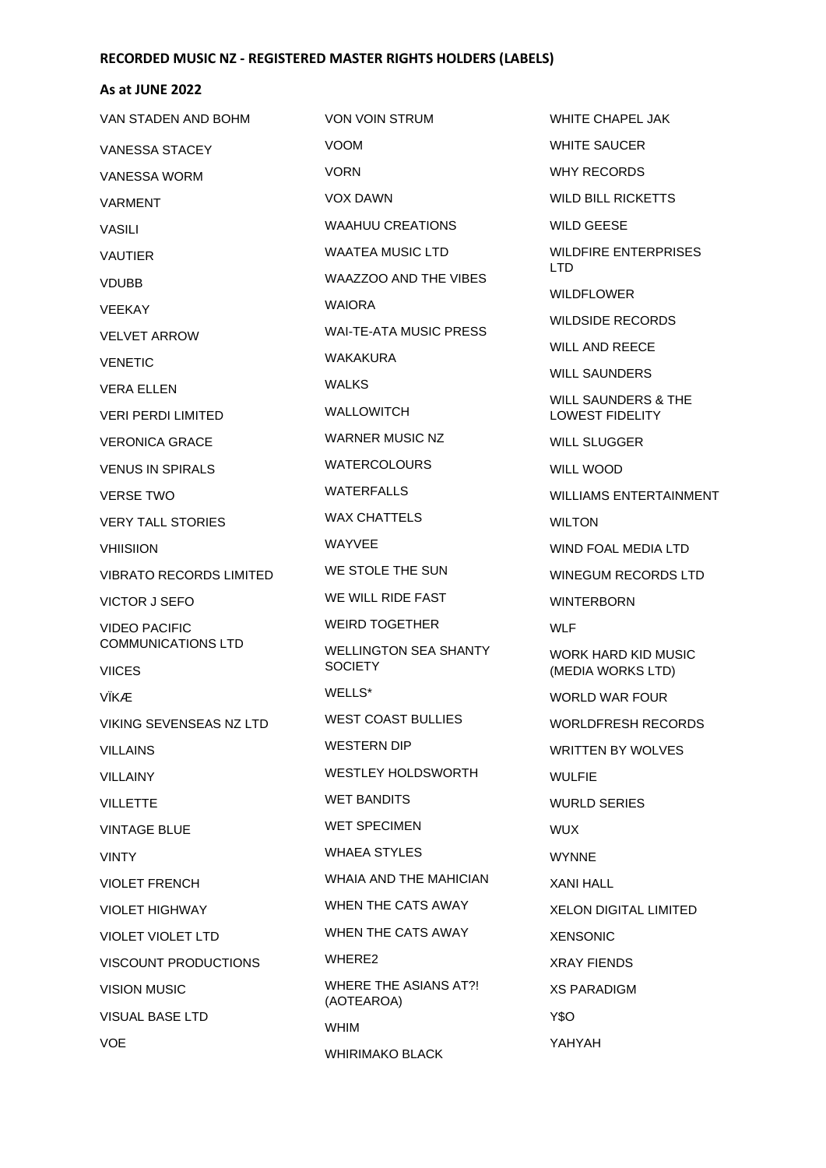| VAN STADEN AND BOHM            | <b>VON VOIN STRUM</b>                      | <b>WHITE CHAPEL JAK</b>                       |
|--------------------------------|--------------------------------------------|-----------------------------------------------|
| <b>VANESSA STACEY</b>          | <b>VOOM</b>                                | <b>WHITE SAUCER</b>                           |
| <b>VANESSA WORM</b>            | <b>VORN</b>                                | WHY RECORDS                                   |
| <b>VARMENT</b>                 | <b>VOX DAWN</b>                            | <b>WILD BILL RICKETTS</b>                     |
| <b>VASILI</b>                  | <b>WAAHUU CREATIONS</b>                    | <b>WILD GEESE</b>                             |
| <b>VAUTIER</b>                 | WAATEA MUSIC LTD                           | <b>WILDFIRE ENTERPRISES</b>                   |
| <b>VDUBB</b>                   | <b>WAAZZOO AND THE VIBES</b>               | LTD.                                          |
| VEEKAY                         | <b>WAIORA</b>                              | <b>WILDFLOWER</b>                             |
| <b>VELVET ARROW</b>            | WAI-TE-ATA MUSIC PRESS                     | <b>WILDSIDE RECORDS</b>                       |
| <b>VENETIC</b>                 | WAKAKURA                                   | <b>WILL AND REECE</b>                         |
| <b>VERA FILEN</b>              | <b>WALKS</b>                               | <b>WILL SAUNDERS</b>                          |
| <b>VERI PERDI LIMITED</b>      | <b>WALLOWITCH</b>                          | WILL SAUNDERS & THE<br><b>LOWEST FIDELITY</b> |
| <b>VERONICA GRACE</b>          | <b>WARNER MUSIC NZ</b>                     | <b>WILL SLUGGER</b>                           |
| <b>VENUS IN SPIRALS</b>        | <b>WATERCOLOURS</b>                        | <b>WILL WOOD</b>                              |
| <b>VERSE TWO</b>               | <b>WATERFALLS</b>                          | <b>WILLIAMS ENTERTAINMENT</b>                 |
| <b>VERY TALL STORIES</b>       | WAX CHATTELS                               | <b>WILTON</b>                                 |
| <b>VHIISIION</b>               | <b>WAYVEE</b>                              | WIND FOAL MEDIA LTD                           |
| <b>VIBRATO RECORDS LIMITED</b> | WE STOLE THE SUN                           | <b>WINEGUM RECORDS LTD</b>                    |
| <b>VICTOR J SEFO</b>           | WE WILL RIDE FAST                          | <b>WINTERBORN</b>                             |
| <b>VIDEO PACIFIC</b>           | <b>WEIRD TOGETHER</b>                      | <b>WLF</b>                                    |
| <b>COMMUNICATIONS LTD</b>      | <b>WELLINGTON SEA SHANTY</b>               | <b>WORK HARD KID MUSIC</b>                    |
| <b>VIICES</b>                  | <b>SOCIETY</b>                             | (MEDIA WORKS LTD)                             |
| VÏKÆ                           | WELLS*                                     | <b>WORLD WAR FOUR</b>                         |
| VIKING SEVENSEAS NZ LTD        | <b>WEST COAST BULLIES</b>                  | <b>WORLDFRESH RECORDS</b>                     |
| <b>VILLAINS</b>                | <b>WESTERN DIP</b>                         | <b>WRITTEN BY WOLVES</b>                      |
| <b>VILLAINY</b>                | WESTLEY HOLDSWORTH                         | <b>WULFIE</b>                                 |
| <b>VILLETTE</b>                | <b>WET BANDITS</b>                         | <b>WURLD SERIES</b>                           |
| <b>VINTAGE BLUE</b>            | <b>WET SPECIMEN</b>                        | <b>WUX</b>                                    |
| <b>VINTY</b>                   | <b>WHAEA STYLES</b>                        | <b>WYNNE</b>                                  |
| <b>VIOLET FRENCH</b>           | WHAIA AND THE MAHICIAN                     | <b>XANI HALL</b>                              |
| <b>VIOLET HIGHWAY</b>          | WHEN THE CATS AWAY                         | XELON DIGITAL LIMITED                         |
| <b>VIOLET VIOLET LTD</b>       | WHEN THE CATS AWAY                         | <b>XENSONIC</b>                               |
| <b>VISCOUNT PRODUCTIONS</b>    | WHERE2                                     | <b>XRAY FIENDS</b>                            |
| <b>VISION MUSIC</b>            | <b>WHERE THE ASIANS AT?!</b><br>(AOTEAROA) | <b>XS PARADIGM</b>                            |
| <b>VISUAL BASE LTD</b>         | <b>WHIM</b>                                | Y\$O                                          |
| <b>VOE</b>                     | <b>WHIRIMAKO BLACK</b>                     | YAHYAH                                        |